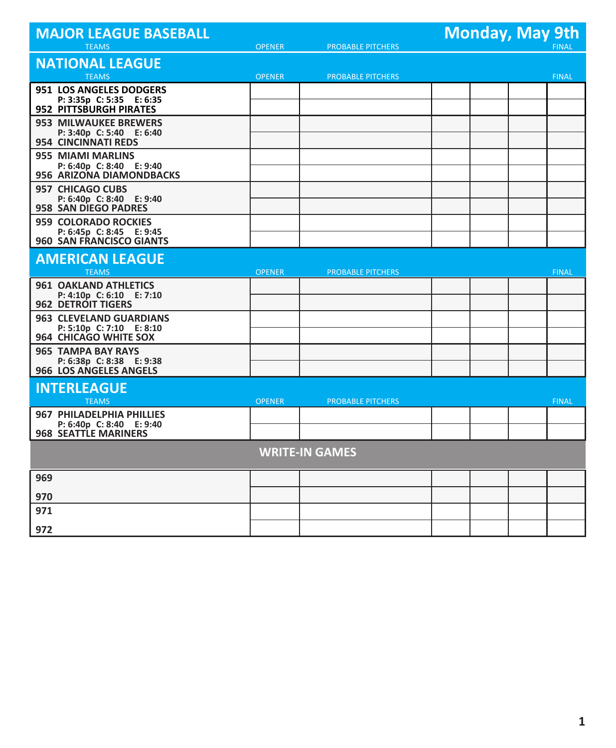| <b>MAJOR LEAGUE BASEBALL</b><br><b>TEAMS</b>                                               | <b>OPENER</b> | <b>PROBABLE PITCHERS</b> | <b>Monday, May 9th</b><br><b>FINAL</b> |  |
|--------------------------------------------------------------------------------------------|---------------|--------------------------|----------------------------------------|--|
| <b>NATIONAL LEAGUE</b>                                                                     |               |                          |                                        |  |
| <b>TEAMS</b>                                                                               | <b>OPENER</b> | <b>PROBABLE PITCHERS</b> | <b>FINAL</b>                           |  |
| 951 LOS ANGELES DODGERS<br>P: 3:35p C: 5:35 E: 6:35<br><b>952 PITTSBURGH PIRATES</b>       |               |                          |                                        |  |
| <b>953 MILWAUKEE BREWERS</b><br>P: 3:40p C: 5:40 E: 6:40<br>954 CINCINNATI REDS            |               |                          |                                        |  |
| <b>955 MIAMI MARLINS</b><br>P: 6:40p C: 8:40 E: 9:40<br>956 ARIZONA DIAMONDBACKS           |               |                          |                                        |  |
| 957 CHICAGO CUBS<br>P: 6:40p C: 8:40 E: 9:40<br>958 SAN DIEGO PADRES                       |               |                          |                                        |  |
| <b>959 COLORADO ROCKIES</b><br>P: 6:45p C: 8:45 E: 9:45<br>960 SAN FRANCISCO GIANTS        |               |                          |                                        |  |
| <b>AMERICAN LEAGUE</b>                                                                     |               |                          |                                        |  |
| <b>TEAMS</b>                                                                               | <b>OPENER</b> | <b>PROBABLE PITCHERS</b> | <b>FINAL</b>                           |  |
| <b>961 OAKLAND ATHLETICS</b><br>P: 4:10p C: 6:10 E: 7:10<br><b>962 DETROIT TIGERS</b>      |               |                          |                                        |  |
| <b>963 CLEVELAND GUARDIANS</b><br>P: 5:10p C: 7:10 E: 8:10<br><b>964 CHICAGO WHITE SOX</b> |               |                          |                                        |  |
| <b>965 TAMPA BAY RAYS</b><br>P: 6:38p C: 8:38 E: 9:38<br>966 LOS ANGELES ANGELS            |               |                          |                                        |  |
| <b>INTERLEAGUE</b>                                                                         |               |                          |                                        |  |
| <b>TEAMS</b><br>967 PHILADELPHIA PHILLIES                                                  | <b>OPENER</b> | <b>PROBABLE PITCHERS</b> | <b>FINAL</b>                           |  |
| P: 6:40p C: 8:40 E: 9:40<br><b>968 SEATTLE MARINERS</b>                                    |               |                          |                                        |  |
|                                                                                            |               | <b>WRITE-IN GAMES</b>    |                                        |  |
| 969                                                                                        |               |                          |                                        |  |
| 970                                                                                        |               |                          |                                        |  |
| 971                                                                                        |               |                          |                                        |  |
| 972                                                                                        |               |                          |                                        |  |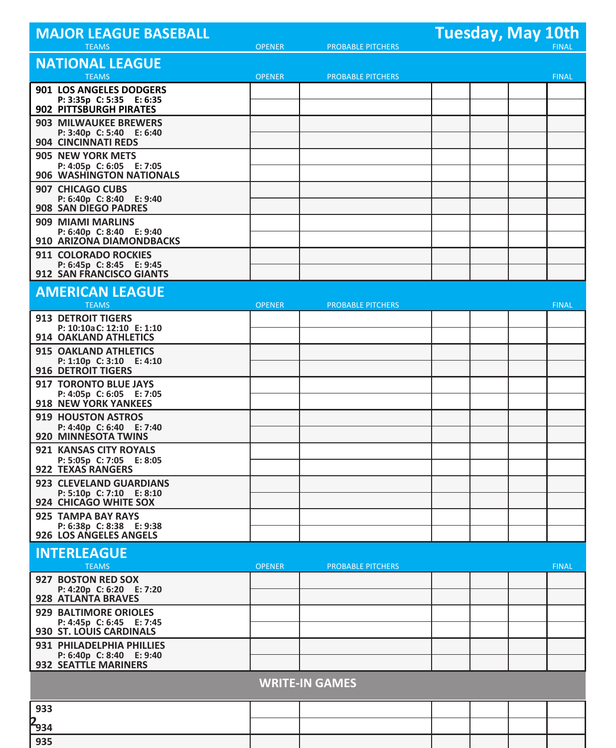| <b>MAJOR LEAGUE BASEBALL</b>                               |               |                          | <b>Tuesday, May 10th</b> |              |
|------------------------------------------------------------|---------------|--------------------------|--------------------------|--------------|
| <b>TEAMS</b>                                               | <b>OPENER</b> | <b>PROBABLE PITCHERS</b> |                          | <b>FINAL</b> |
| <b>NATIONAL LEAGUE</b>                                     |               |                          |                          |              |
| <b>TEAMS</b>                                               | <b>OPENER</b> | <b>PROBABLE PITCHERS</b> |                          | <b>FINAL</b> |
| <b>901 LOS ANGELES DODGERS</b><br>P: 3:35p C: 5:35 E: 6:35 |               |                          |                          |              |
| 902 PITTSBURGH PIRATES                                     |               |                          |                          |              |
| <b>903 MILWAUKEE BREWERS</b>                               |               |                          |                          |              |
| P: 3:40p C: 5:40 E: 6:40<br>904 CINCINNATI REDS            |               |                          |                          |              |
| 905 NEW YORK METS                                          |               |                          |                          |              |
| P: 4:05p C: 6:05 E: 7:05<br>906 WASHINGTON NATIONALS       |               |                          |                          |              |
| 907 CHICAGO CUBS                                           |               |                          |                          |              |
| P: 6:40p C: 8:40 E: 9:40                                   |               |                          |                          |              |
| <b>908 SAN DIEGO PADRES</b><br>909 MIAMI MARLINS           |               |                          |                          |              |
| P: 6:40p C: 8:40 E: 9:40                                   |               |                          |                          |              |
| 910 ARIZONA DIAMONDBACKS                                   |               |                          |                          |              |
| 911 COLORADO ROCKIES<br>P: 6:45p C: 8:45 E: 9:45           |               |                          |                          |              |
| 912 SAN FRANCISCO GIANTS                                   |               |                          |                          |              |
| <b>AMERICAN LEAGUE</b>                                     |               |                          |                          |              |
| <b>TEAMS</b>                                               | <b>OPENER</b> | <b>PROBABLE PITCHERS</b> |                          | <b>FINAL</b> |
| <b>913 DETROIT TIGERS</b><br>P: 10:10a C: 12:10 E: 1:10    |               |                          |                          |              |
| 914 OAKLAND ATHLETICS                                      |               |                          |                          |              |
| 915 OAKLAND ATHLETICS                                      |               |                          |                          |              |
| P: 1:10p C: 3:10 E: 4:10<br>916 DETROIT TIGERS             |               |                          |                          |              |
| 917 TORONTO BLUE JAYS                                      |               |                          |                          |              |
| P: 4:05p C: 6:05 E: 7:05<br>918 NEW YORK YANKEES           |               |                          |                          |              |
| 919 HOUSTON ASTROS                                         |               |                          |                          |              |
| P: 4:40p C: 6:40 E: 7:40                                   |               |                          |                          |              |
| 920 MINNESOTA TWINS<br>921 KANSAS CITY ROYALS              |               |                          |                          |              |
| P: 5:05p C: 7:05 E: 8:05                                   |               |                          |                          |              |
| 922 TEXAS RANGERS                                          |               |                          |                          |              |
| 923 CLEVELAND GUARDIANS<br>P: 5:10p C: 7:10 E: 8:10        |               |                          |                          |              |
| 924 CHICAGO WHITE SOX                                      |               |                          |                          |              |
| 925 TAMPA BAY RAYS<br>P: 6:38p C: 8:38 E: 9:38             |               |                          |                          |              |
| 926 LOS ANGELES ANGELS                                     |               |                          |                          |              |
| <b>INTERLEAGUE</b>                                         |               |                          |                          |              |
| <b>TEAMS</b>                                               | <b>OPENER</b> | <b>PROBABLE PITCHERS</b> |                          | <b>FINAL</b> |
| 927 BOSTON RED SOX<br>P: 4:20p C: 6:20 E: 7:20             |               |                          |                          |              |
| 928 ATLANTA BRAVES                                         |               |                          |                          |              |
| 929 BALTIMORE ORIOLES                                      |               |                          |                          |              |
| P: 4:45p C: 6:45 E: 7:45<br>930 ST. LOUIS CARDINALS        |               |                          |                          |              |
| 931 PHILADELPHIA PHILLIES                                  |               |                          |                          |              |
| P: 6:40p C: 8:40 E: 9:40<br><b>932 SEATTLE MARINERS</b>    |               |                          |                          |              |
|                                                            |               |                          |                          |              |
|                                                            |               | <b>WRITE-IN GAMES</b>    |                          |              |
| 933                                                        |               |                          |                          |              |
| 2 <sub>934</sub>                                           |               |                          |                          |              |
| 935                                                        |               |                          |                          |              |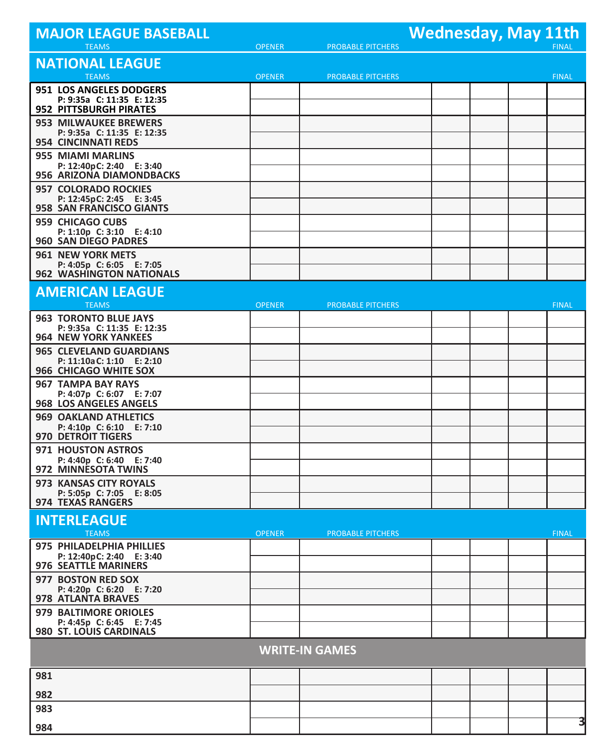| <b>MAJOR LEAGUE BASEBALL</b>                              |               |                          | <b>Wednesday, May 11th</b> |              |
|-----------------------------------------------------------|---------------|--------------------------|----------------------------|--------------|
| <b>TEAMS</b>                                              | <b>OPENER</b> | <b>PROBABLE PITCHERS</b> |                            | <b>FINAL</b> |
| <b>NATIONAL LEAGUE</b>                                    |               |                          |                            |              |
| <b>TEAMS</b>                                              | <b>OPENER</b> | <b>PROBABLE PITCHERS</b> |                            | <b>FINAL</b> |
| 951 LOS ANGELES DODGERS<br>P: 9:35a C: 11:35 E: 12:35     |               |                          |                            |              |
| 952 PITTSBURGH PIRATES                                    |               |                          |                            |              |
| <b>953 MILWAUKEE BREWERS</b>                              |               |                          |                            |              |
| P: 9:35a C: 11:35 E: 12:35<br>954 CINCINNATI REDS         |               |                          |                            |              |
| 955 MIAMI MARLINS                                         |               |                          |                            |              |
| P: 12:40pC: 2:40 E: 3:40<br>956 ARIZONA DIAMONDBACKS      |               |                          |                            |              |
| <b>957 COLORADO ROCKIES</b>                               |               |                          |                            |              |
| P: 12:45pC: 2:45 E: 3:45<br>958 SAN FRANCISCO GIANTS      |               |                          |                            |              |
| 959 CHICAGO CUBS                                          |               |                          |                            |              |
| P: 1:10p C: 3:10 E: 4:10<br><b>960 SAN DIEGO PADRES</b>   |               |                          |                            |              |
| 961 NEW YORK METS                                         |               |                          |                            |              |
| P: 4:05p C: 6:05 E: 7:05<br>962 WASHINGTON NATIONALS      |               |                          |                            |              |
|                                                           |               |                          |                            |              |
| <b>AMERICAN LEAGUE</b><br><b>TEAMS</b>                    | <b>OPENER</b> | <b>PROBABLE PITCHERS</b> |                            | <b>FINAL</b> |
| <b>963 TORONTO BLUE JAYS</b>                              |               |                          |                            |              |
| P: 9:35a C: 11:35 E: 12:35<br><b>964 NEW YORK YANKEES</b> |               |                          |                            |              |
| <b>965 CLEVELAND GUARDIANS</b>                            |               |                          |                            |              |
| P: 11:10a C: 1:10 E: 2:10<br><b>966 CHICAGO WHITE SOX</b> |               |                          |                            |              |
| <b>967 TAMPA BAY RAYS</b>                                 |               |                          |                            |              |
| P: 4:07p C: 6:07 E: 7:07<br><b>968 LOS ANGELES ANGELS</b> |               |                          |                            |              |
| <b>969 OAKLAND ATHLETICS</b>                              |               |                          |                            |              |
| P: 4:10p C: 6:10 E: 7:10<br><b>970 DETROIT TIGERS</b>     |               |                          |                            |              |
| 971 HOUSTON ASTROS                                        |               |                          |                            |              |
| P: 4:40p C: 6:40 E: 7:40<br>972 MINNESOTA TWINS           |               |                          |                            |              |
| 973 KANSAS CITY ROYALS                                    |               |                          |                            |              |
| P: 5:05p C: 7:05 E: 8:05<br>974 TEXAS RANGERS             |               |                          |                            |              |
| <b>INTERLEAGUE</b>                                        |               |                          |                            |              |
| <b>TEAMS</b>                                              | <b>OPENER</b> | <b>PROBABLE PITCHERS</b> |                            | <b>FINAL</b> |
| 975 PHILADELPHIA PHILLIES                                 |               |                          |                            |              |
| P: 12:40pC: 2:40 E: 3:40<br>976 SEATTLE MARINERS          |               |                          |                            |              |
| 977 BOSTON RED SOX                                        |               |                          |                            |              |
| P: 4:20p C: 6:20 E: 7:20<br>978 ATLANTA BRAVES            |               |                          |                            |              |
| 979 BALTIMORE ORIOLES                                     |               |                          |                            |              |
| P: 4:45p C: 6:45 E: 7:45<br>980 ST. LOUIS CARDINALS       |               |                          |                            |              |
|                                                           |               | <b>WRITE-IN GAMES</b>    |                            |              |
| 981                                                       |               |                          |                            |              |
|                                                           |               |                          |                            |              |
| 982<br>983                                                |               |                          |                            |              |
|                                                           |               |                          |                            | З            |
| 984                                                       |               |                          |                            |              |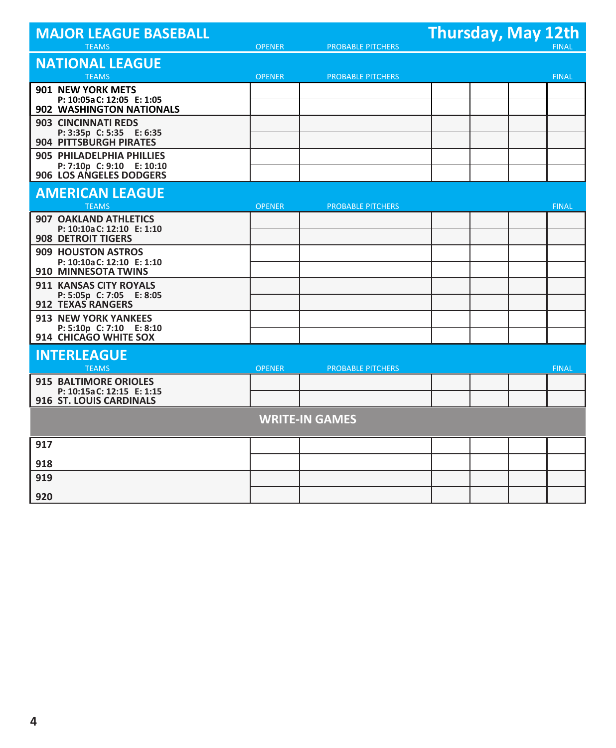| <b>MAJOR LEAGUE BASEBALL</b>                            |               |                          | <b>Thursday, May 12th</b> |              |  |
|---------------------------------------------------------|---------------|--------------------------|---------------------------|--------------|--|
| <b>TEAMS</b>                                            | <b>OPENER</b> | <b>PROBABLE PITCHERS</b> |                           | <b>FINAL</b> |  |
| <b>NATIONAL LEAGUE</b>                                  |               |                          |                           |              |  |
| <b>TEAMS</b>                                            | <b>OPENER</b> | <b>PROBABLE PITCHERS</b> |                           | <b>FINAL</b> |  |
| 901 NEW YORK METS                                       |               |                          |                           |              |  |
| P: 10:05a C: 12:05 E: 1:05<br>902 WASHINGTON NATIONALS  |               |                          |                           |              |  |
| <b>903 CINCINNATI REDS</b>                              |               |                          |                           |              |  |
| P: 3:35p C: 5:35 E: 6:35<br>904 PITTSBURGH PIRATES      |               |                          |                           |              |  |
| 905 PHILADELPHIA PHILLIES                               |               |                          |                           |              |  |
| P: 7:10p C: 9:10 E: 10:10<br>906 LOS ANGELES DODGERS    |               |                          |                           |              |  |
| <b>AMERICAN LEAGUE</b>                                  |               |                          |                           |              |  |
| <b>TEAMS</b>                                            | <b>OPENER</b> | <b>PROBABLE PITCHERS</b> |                           | <b>FINAL</b> |  |
| <b>907 OAKLAND ATHLETICS</b>                            |               |                          |                           |              |  |
| P: 10:10a C: 12:10 E: 1:10<br><b>908 DETROIT TIGERS</b> |               |                          |                           |              |  |
| 909 HOUSTON ASTROS                                      |               |                          |                           |              |  |
| P: 10:10a C: 12:10 E: 1:10<br>910 MINNESOTA TWINS       |               |                          |                           |              |  |
| <b>911 KANSAS CITY ROYALS</b>                           |               |                          |                           |              |  |
| P: 5:05p C: 7:05 E: 8:05<br>912 TEXAS RANGERS           |               |                          |                           |              |  |
| 913 NEW YORK YANKEES                                    |               |                          |                           |              |  |
| P: 5:10p C: 7:10 E: 8:10<br>914 CHICAGO WHITE SOX       |               |                          |                           |              |  |
| <b>INTERLEAGUE</b>                                      |               |                          |                           |              |  |
| <b>TEAMS</b>                                            | <b>OPENER</b> | <b>PROBABLE PITCHERS</b> |                           | <b>FINAL</b> |  |
| <b>915 BALTIMORE ORIOLES</b>                            |               |                          |                           |              |  |
| P: 10:15a C: 12:15 E: 1:15<br>916 ST. LOUIS CARDINALS   |               |                          |                           |              |  |
|                                                         |               | <b>WRITE-IN GAMES</b>    |                           |              |  |
| 917                                                     |               |                          |                           |              |  |
| 918                                                     |               |                          |                           |              |  |
| 919                                                     |               |                          |                           |              |  |
| 920                                                     |               |                          |                           |              |  |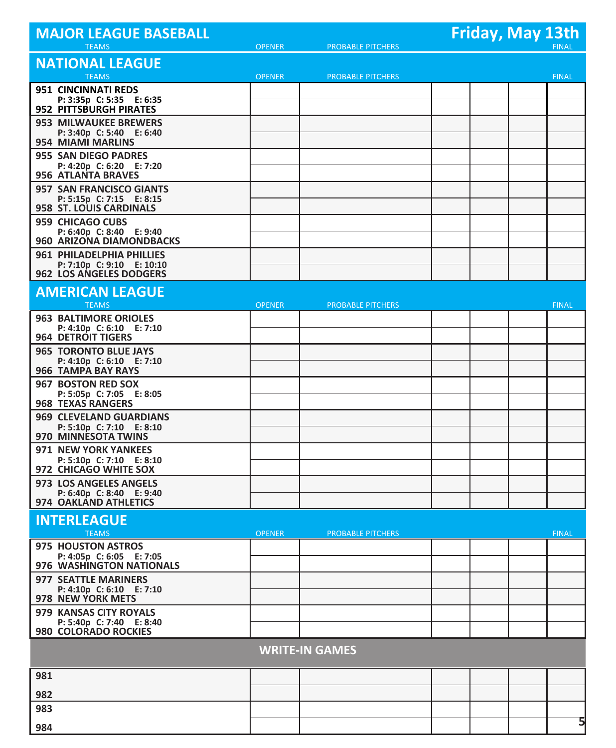| <b>MAJOR LEAGUE BASEBALL</b>                                                  |               |                          | <b>Friday, May 13th</b> |
|-------------------------------------------------------------------------------|---------------|--------------------------|-------------------------|
| <b>TEAMS</b>                                                                  | <b>OPENER</b> | <b>PROBABLE PITCHERS</b> | <b>FINAL</b>            |
| <b>NATIONAL LEAGUE</b>                                                        |               |                          |                         |
| <b>TEAMS</b>                                                                  | <b>OPENER</b> | <b>PROBABLE PITCHERS</b> | <b>FINAL</b>            |
| 951 CINCINNATI REDS<br>P: 3:35p C: 5:35 E: 6:35                               |               |                          |                         |
| 952 PITTSBURGH PIRATES                                                        |               |                          |                         |
| <b>953 MILWAUKEE BREWERS</b><br>P: 3:40p C: 5:40 E: 6:40<br>954 MIAMI MARLINS |               |                          |                         |
| 955 SAN DIEGO PADRES                                                          |               |                          |                         |
| P: 4:20p C: 6:20 E: 7:20<br>956 ATLANTA BRAVES                                |               |                          |                         |
| 957 SAN FRANCISCO GIANTS<br>P: 5:15p C: 7:15 E: 8:15                          |               |                          |                         |
| 958 ST. LOUIS CARDINALS                                                       |               |                          |                         |
| 959 CHICAGO CUBS<br>P: 6:40p C: 8:40 E: 9:40<br>960 ARIZONA DIAMONDBACKS      |               |                          |                         |
| 961 PHILADELPHIA PHILLIES                                                     |               |                          |                         |
| P: 7:10p C: 9:10 E: 10:10<br>962 LOS ANGELES DODGERS                          |               |                          |                         |
| <b>AMERICAN LEAGUE</b>                                                        |               |                          |                         |
| <b>TEAMS</b>                                                                  | <b>OPENER</b> | <b>PROBABLE PITCHERS</b> | <b>FINAL</b>            |
| <b>963 BALTIMORE ORIOLES</b>                                                  |               |                          |                         |
| P: 4:10p C: 6:10 E: 7:10<br><b>964 DETROIT TIGERS</b>                         |               |                          |                         |
| <b>965 TORONTO BLUE JAYS</b>                                                  |               |                          |                         |
| P: 4:10p C: 6:10 E: 7:10<br>966 TAMPA BAY RAYS                                |               |                          |                         |
| 967 BOSTON RED SOX                                                            |               |                          |                         |
| P: 5:05p C: 7:05 E: 8:05<br><b>968 TEXAS RANGERS</b>                          |               |                          |                         |
| 969 CLEVELAND GUARDIANS                                                       |               |                          |                         |
| P: 5:10p C: 7:10 E: 8:10<br>970 MINNESOTA TWINS                               |               |                          |                         |
| 971 NEW YORK YANKEES                                                          |               |                          |                         |
| P: 5:10p C: 7:10 E: 8:10<br>972 CHICAGO WHITE SOX                             |               |                          |                         |
| 973 LOS ANGELES ANGELS                                                        |               |                          |                         |
| P: 6:40p C: 8:40 E: 9:40<br>974 OAKLAND ATHLETICS                             |               |                          |                         |
| <b>INTERLEAGUE</b>                                                            |               |                          |                         |
| <b>TEAMS</b>                                                                  | <b>OPENER</b> | <b>PROBABLE PITCHERS</b> | <b>FINAL</b>            |
| 975 HOUSTON ASTROS                                                            |               |                          |                         |
| P: 4:05p C: 6:05 E: 7:05<br>976 WASHINGTON NATIONALS                          |               |                          |                         |
| <b>977 SEATTLE MARINERS</b>                                                   |               |                          |                         |
| P: 4:10p C: 6:10 E: 7:10<br>978 NEW YORK METS                                 |               |                          |                         |
| 979 KANSAS CITY ROYALS<br>P: 5:40p C: 7:40 E: 8:40                            |               |                          |                         |
| 980 COLORADO ROCKIES                                                          |               |                          |                         |
|                                                                               |               | <b>WRITE-IN GAMES</b>    |                         |
| 981                                                                           |               |                          |                         |
| 982                                                                           |               |                          |                         |
| 983                                                                           |               |                          |                         |
| 984                                                                           |               |                          | 5                       |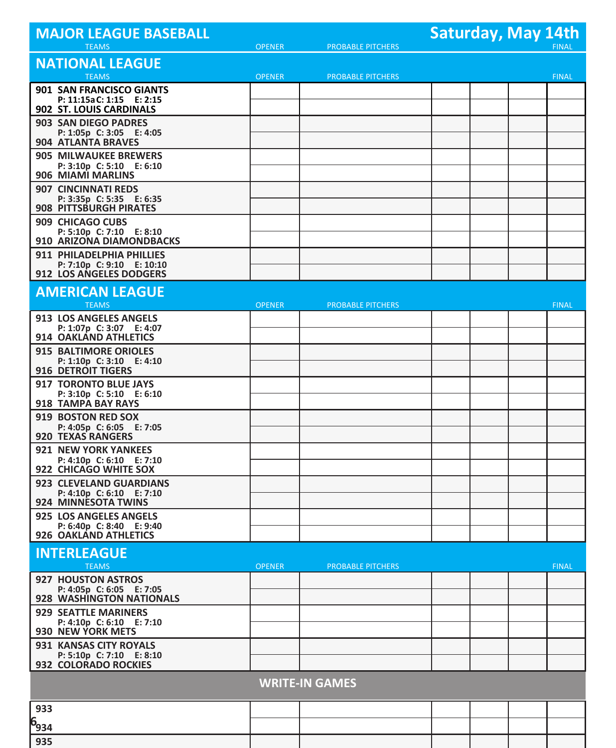| <b>MAJOR LEAGUE BASEBALL</b>                              |               |                          | <b>Saturday, May 14th</b> |  |              |
|-----------------------------------------------------------|---------------|--------------------------|---------------------------|--|--------------|
| <b>TEAMS</b>                                              | <b>OPENER</b> | <b>PROBABLE PITCHERS</b> |                           |  | <b>FINAL</b> |
| <b>NATIONAL LEAGUE</b>                                    |               |                          |                           |  |              |
| <b>TEAMS</b>                                              | <b>OPENER</b> | <b>PROBABLE PITCHERS</b> |                           |  | <b>FINAL</b> |
| 901 SAN FRANCISCO GIANTS<br>P: 11:15a C: 1:15 E: 2:15     |               |                          |                           |  |              |
| 902 ST. LOUIS CARDINALS                                   |               |                          |                           |  |              |
| <b>903 SAN DIEGO PADRES</b>                               |               |                          |                           |  |              |
| P: 1:05p C: 3:05 E: 4:05<br>904 ATLANTA BRAVES            |               |                          |                           |  |              |
| <b>905 MILWAUKEE BREWERS</b>                              |               |                          |                           |  |              |
| P: 3:10p C: 5:10 E: 6:10<br>906 MIAMI MARLINS             |               |                          |                           |  |              |
| 907 CINCINNATI REDS                                       |               |                          |                           |  |              |
| P: 3:35p C: 5:35 E: 6:35<br><b>908 PITTSBURGH PIRATES</b> |               |                          |                           |  |              |
| 909 CHICAGO CUBS                                          |               |                          |                           |  |              |
| P: 5:10p C: 7:10 E: 8:10                                  |               |                          |                           |  |              |
| 910 ARIZONA DIAMONDBACKS<br>911 PHILADELPHIA PHILLIES     |               |                          |                           |  |              |
| P: 7:10p C: 9:10 E: 10:10                                 |               |                          |                           |  |              |
| 912 LOS ANGELES DODGERS                                   |               |                          |                           |  |              |
| <b>AMERICAN LEAGUE</b>                                    |               |                          |                           |  |              |
| <b>TEAMS</b>                                              | <b>OPENER</b> | <b>PROBABLE PITCHERS</b> |                           |  | <b>FINAL</b> |
| 913 LOS ANGELES ANGELS<br>P: 1:07p C: 3:07 E: 4:07        |               |                          |                           |  |              |
| 914 OAKLAND ATHLETICS                                     |               |                          |                           |  |              |
| 915 BALTIMORE ORIOLES<br>P: 1:10p C: 3:10 E: 4:10         |               |                          |                           |  |              |
| 916 DETROIT TIGERS                                        |               |                          |                           |  |              |
| 917 TORONTO BLUE JAYS                                     |               |                          |                           |  |              |
| P: 3:10p C: 5:10 E: 6:10<br>918 TAMPA BAY RAYS            |               |                          |                           |  |              |
| 919 BOSTON RED SOX                                        |               |                          |                           |  |              |
| P: 4:05p C: 6:05 E: 7:05<br>920 TEXAS RANGERS             |               |                          |                           |  |              |
| 921 NEW YORK YANKEES                                      |               |                          |                           |  |              |
| P: 4:10p C: 6:10 E: 7:10<br>922 CHICAGO WHITE SOX         |               |                          |                           |  |              |
| 923 CLEVELAND GUARDIANS                                   |               |                          |                           |  |              |
| P: 4:10p C: 6:10 E: 7:10                                  |               |                          |                           |  |              |
| 924 MINNESOTA TWINS<br>925 LOS ANGELES ANGELS             |               |                          |                           |  |              |
| P: 6:40p C: 8:40 E: 9:40                                  |               |                          |                           |  |              |
| 926 OAKLAND ATHLETICS                                     |               |                          |                           |  |              |
| <b>INTERLEAGUE</b>                                        |               |                          |                           |  |              |
| <b>TEAMS</b><br><b>927 HOUSTON ASTROS</b>                 | <b>OPENER</b> | <b>PROBABLE PITCHERS</b> |                           |  | FINAL        |
| P: 4:05p C: 6:05 E: 7:05                                  |               |                          |                           |  |              |
| 928 WASHINGTON NATIONALS                                  |               |                          |                           |  |              |
| <b>929 SEATTLE MARINERS</b><br>P: 4:10p C: 6:10 E: 7:10   |               |                          |                           |  |              |
| 930 NEW YORK METS                                         |               |                          |                           |  |              |
| 931 KANSAS CITY ROYALS<br>P: 5:10p C: 7:10 E: 8:10        |               |                          |                           |  |              |
| 932 COLORADO ROCKIES                                      |               |                          |                           |  |              |
|                                                           |               | <b>WRITE-IN GAMES</b>    |                           |  |              |
| 933                                                       |               |                          |                           |  |              |
| $6_{934}$                                                 |               |                          |                           |  |              |
| 935                                                       |               |                          |                           |  |              |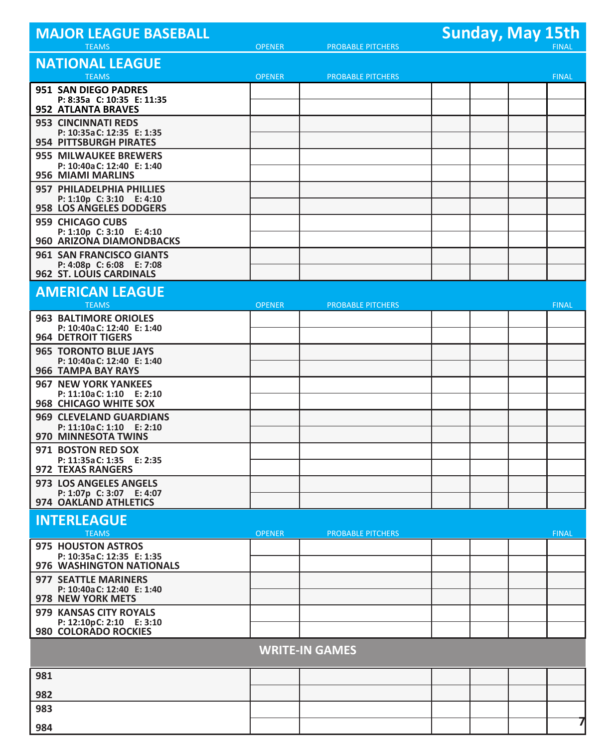| <b>MAJOR LEAGUE BASEBALL</b>                            |               |                          | <b>Sunday, May 15th</b> |              |
|---------------------------------------------------------|---------------|--------------------------|-------------------------|--------------|
| <b>TEAMS</b>                                            | <b>OPENER</b> | <b>PROBABLE PITCHERS</b> |                         | <b>FINAL</b> |
| <b>NATIONAL LEAGUE</b>                                  |               |                          |                         |              |
| <b>TEAMS</b>                                            | <b>OPENER</b> | <b>PROBABLE PITCHERS</b> |                         | <b>FINAL</b> |
| <b>951 SAN DIEGO PADRES</b>                             |               |                          |                         |              |
| P: 8:35a C: 10:35 E: 11:35<br>952 ATLANTA BRAVES        |               |                          |                         |              |
| <b>953 CINCINNATI REDS</b>                              |               |                          |                         |              |
| P: 10:35a C: 12:35 E: 1:35<br>954 PITTSBURGH PIRATES    |               |                          |                         |              |
| <b>955 MILWAUKEE BREWERS</b>                            |               |                          |                         |              |
| P: 10:40a C: 12:40 E: 1:40<br>956 MIAMI MARLINS         |               |                          |                         |              |
| 957 PHILADELPHIA PHILLIES                               |               |                          |                         |              |
| P: 1:10p C: 3:10 E: 4:10                                |               |                          |                         |              |
| 958 LOS ANGELES DODGERS                                 |               |                          |                         |              |
| 959 CHICAGO CUBS<br>P: 1:10p C: 3:10 E: 4:10            |               |                          |                         |              |
| 960 ARIZONA DIAMONDBACKS                                |               |                          |                         |              |
| 961 SAN FRANCISCO GIANTS<br>P: 4:08p C: 6:08 E: 7:08    |               |                          |                         |              |
| 962 ST. LOUIS CARDINALS                                 |               |                          |                         |              |
| <b>AMERICAN LEAGUE</b>                                  |               |                          |                         |              |
| <b>TEAMS</b>                                            | <b>OPENER</b> | <b>PROBABLE PITCHERS</b> |                         | <b>FINAL</b> |
| <b>963 BALTIMORE ORIOLES</b>                            |               |                          |                         |              |
| P: 10:40a C: 12:40 E: 1:40<br><b>964 DETROIT TIGERS</b> |               |                          |                         |              |
| <b>965 TORONTO BLUE JAYS</b>                            |               |                          |                         |              |
| P: 10:40a C: 12:40 E: 1:40<br><b>966 TAMPA BAY RAYS</b> |               |                          |                         |              |
| <b>967 NEW YORK YANKEES</b>                             |               |                          |                         |              |
| P: 11:10a C: 1:10 E: 2:10                               |               |                          |                         |              |
| <b>968 CHICAGO WHITE SOX</b><br>969 CLEVELAND GUARDIANS |               |                          |                         |              |
| P: 11:10a C: 1:10 E: 2:10                               |               |                          |                         |              |
| 970 MINNESOTA TWINS                                     |               |                          |                         |              |
| 971 BOSTON RED SOX<br>P: 11:35a C: 1:35 E: 2:35         |               |                          |                         |              |
| 972 TEXAS RANGERS                                       |               |                          |                         |              |
| 973 LOS ANGELES ANGELS<br>P: 1:07p C: 3:07 E: 4:07      |               |                          |                         |              |
| 974 OAKLAND ATHLETICS                                   |               |                          |                         |              |
| <b>INTERLEAGUE</b>                                      |               |                          |                         |              |
| <b>TEAMS</b>                                            | <b>OPENER</b> | <b>PROBABLE PITCHERS</b> |                         | <b>FINAL</b> |
| 975 HOUSTON ASTROS<br>P: 10:35a C: 12:35 E: 1:35        |               |                          |                         |              |
| 976 WASHINGTON NATIONALS                                |               |                          |                         |              |
| 977 SEATTLE MARINERS                                    |               |                          |                         |              |
| P: 10:40a C: 12:40 E: 1:40<br>978 NEW YORK METS         |               |                          |                         |              |
| 979 KANSAS CITY ROYALS                                  |               |                          |                         |              |
| P: 12:10pC: 2:10 E: 3:10<br>980 COLORADO ROCKIES        |               |                          |                         |              |
|                                                         |               |                          |                         |              |
|                                                         |               | <b>WRITE-IN GAMES</b>    |                         |              |
| 981                                                     |               |                          |                         |              |
| 982                                                     |               |                          |                         |              |
| 983                                                     |               |                          |                         |              |
| 984                                                     |               |                          |                         | 7            |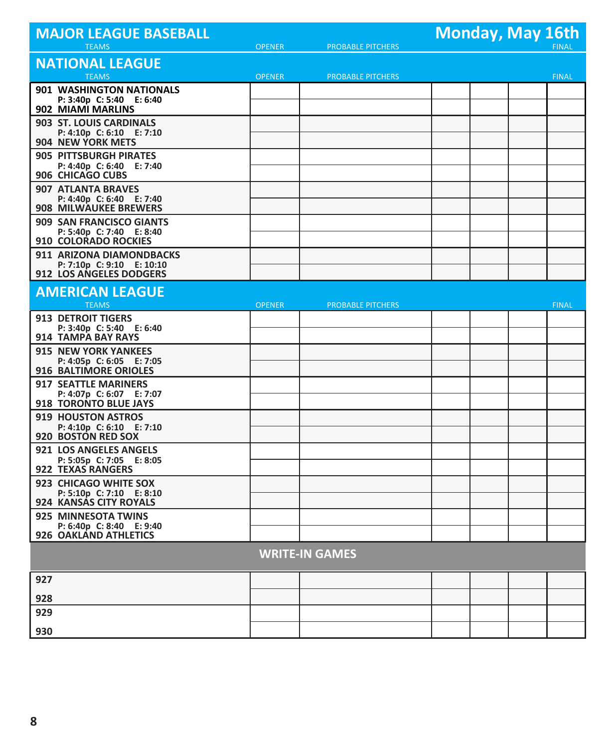| <b>MAJOR LEAGUE BASEBALL</b>                             |               |                          | <b>Monday, May 16th</b> |              |
|----------------------------------------------------------|---------------|--------------------------|-------------------------|--------------|
| <b>TEAMS</b>                                             | <b>OPENER</b> | <b>PROBABLE PITCHERS</b> |                         |              |
| <b>NATIONAL LEAGUE</b><br><b>TEAMS</b>                   | <b>OPENER</b> | <b>PROBABLE PITCHERS</b> |                         | <b>FINAL</b> |
| 901 WASHINGTON NATIONALS                                 |               |                          |                         |              |
| P: 3:40p C: 5:40 E: 6:40<br>902 MIAMI MARLINS            |               |                          |                         |              |
| 903 ST. LOUIS CARDINALS                                  |               |                          |                         |              |
| P: 4:10p C: 6:10 E: 7:10<br>904 NEW YORK METS            |               |                          |                         |              |
| <b>905 PITTSBURGH PIRATES</b>                            |               |                          |                         |              |
| P: 4:40p C: 6:40 E: 7:40<br>906 CHICAGO CUBS             |               |                          |                         |              |
| <b>907 ATLANTA BRAVES</b>                                |               |                          |                         |              |
| P: 4:40p C: 6:40 E: 7:40<br><b>908 MILWAUKEE BREWERS</b> |               |                          |                         |              |
| 909 SAN FRANCISCO GIANTS                                 |               |                          |                         |              |
| P: 5:40p C: 7:40 E: 8:40<br>910 COLORADO ROCKIES         |               |                          |                         |              |
| 911 ARIZONA DIAMONDBACKS                                 |               |                          |                         |              |
| P: 7:10p C: 9:10 E: 10:10<br>912 LOS ANGELES DODGERS     |               |                          |                         |              |
| <b>AMERICAN LEAGUE</b><br><b>TEAMS</b>                   | <b>OPENER</b> | <b>PROBABLE PITCHERS</b> |                         | <b>FINAL</b> |
| 913 DETROIT TIGERS                                       |               |                          |                         |              |
| P: 3:40p C: 5:40 E: 6:40<br>914 TAMPA BAY RAYS           |               |                          |                         |              |
| <b>915 NEW YORK YANKEES</b>                              |               |                          |                         |              |
| P: 4:05p C: 6:05 E: 7:05<br>916 BALTIMORE ORIOLES        |               |                          |                         |              |
| <b>917 SEATTLE MARINERS</b>                              |               |                          |                         |              |
| P: 4:07p C: 6:07 E: 7:07<br>918 TORONTO BLUE JAYS        |               |                          |                         |              |
| <b>919 HOUSTON ASTROS</b>                                |               |                          |                         |              |
| P: 4:10p C: 6:10 E: 7:10<br>920 BOSTON RED SOX           |               |                          |                         |              |
| <b>921 LOS ANGELES ANGELS</b>                            |               |                          |                         |              |
| P: 5:05p C: 7:05 E: 8:05<br>922 TEXAS RANGERS            |               |                          |                         |              |
| <b>923 CHICAGO WHITE SOX</b>                             |               |                          |                         |              |
| P: 5:10p C: 7:10 E: 8:10<br>924 KANSAS CITY ROYALS       |               |                          |                         |              |
| 925 MINNESOTA TWINS                                      |               |                          |                         |              |
| P: 6:40p C: 8:40 E: 9:40<br>926 OAKLAND ATHLETICS        |               |                          |                         |              |
|                                                          |               | <b>WRITE-IN GAMES</b>    |                         |              |
| 927                                                      |               |                          |                         |              |
| 928                                                      |               |                          |                         |              |
| 929                                                      |               |                          |                         |              |
| 930                                                      |               |                          |                         |              |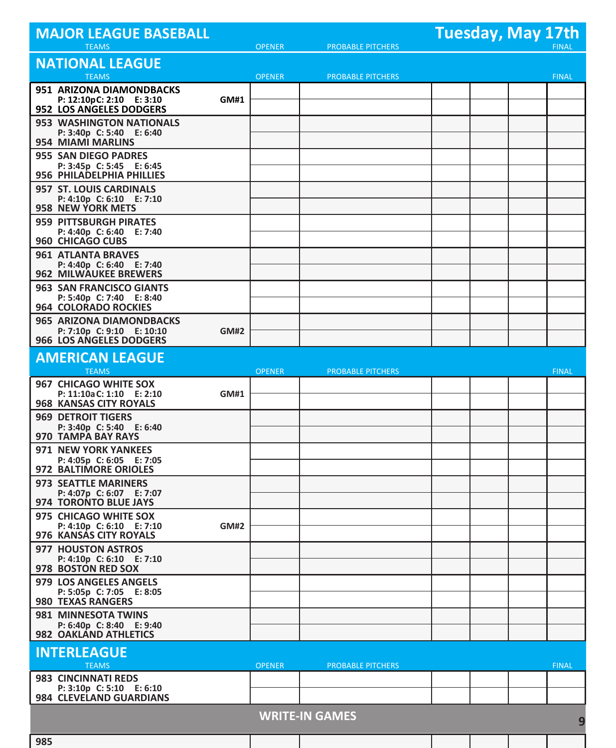| <b>MAJOR LEAGUE BASEBALL</b>                                                     |             |               |                          | <b>Tuesday, May 17th</b> |
|----------------------------------------------------------------------------------|-------------|---------------|--------------------------|--------------------------|
| <b>TEAMS</b>                                                                     |             | <b>OPENER</b> | <b>PROBABLE PITCHERS</b> | <b>FINAL</b>             |
| <b>NATIONAL LEAGUE</b><br><b>TEAMS</b>                                           |             | <b>OPENER</b> | <b>PROBABLE PITCHERS</b> | <b>FINAL</b>             |
| 951 ARIZONA DIAMONDBACKS<br>P: 12:10pC: 2:10 E: 3:10                             | <b>GM#1</b> |               |                          |                          |
| 952 LOS ANGELES DODGERS<br><b>953 WASHINGTON NATIONALS</b>                       |             |               |                          |                          |
| P: 3:40p C: 5:40 E: 6:40<br>954 MIAMI MARLINS                                    |             |               |                          |                          |
| <b>955 SAN DIEGO PADRES</b>                                                      |             |               |                          |                          |
| P: 3:45p C: 5:45 E: 6:45<br>956 PHILADELPHIA PHILLIES                            |             |               |                          |                          |
| 957 ST. LOUIS CARDINALS<br>P: 4:10p C: 6:10 E: 7:10<br>958 NEW YORK METS         |             |               |                          |                          |
| <b>959 PITTSBURGH PIRATES</b><br>P: 4:40p C: 6:40 E: 7:40<br>960 CHICAGO CUBS    |             |               |                          |                          |
| <b>961 ATLANTA BRAVES</b><br>P: 4:40p C: 6:40 E: 7:40                            |             |               |                          |                          |
| 962 MILWAUKEE BREWERS<br>963 SAN FRANCISCO GIANTS                                |             |               |                          |                          |
| P: 5:40p C: 7:40 E: 8:40<br>964 COLORADO ROCKIES                                 |             |               |                          |                          |
| 965 ARIZONA DIAMONDBACKS<br>P: 7:10p C: 9:10 E: 10:10                            | <b>GM#2</b> |               |                          |                          |
| 966 LOS ANGELES DODGERS                                                          |             |               |                          |                          |
| <b>AMERICAN LEAGUE</b><br><b>TEAMS</b>                                           |             | <b>OPENER</b> | <b>PROBABLE PITCHERS</b> | <b>FINAL</b>             |
| <b>967 CHICAGO WHITE SOX</b>                                                     |             |               |                          |                          |
| P: 11:10a C: 1:10 E: 2:10<br><b>968 KANSAS CITY ROYALS</b>                       | <b>GM#1</b> |               |                          |                          |
| <b>969 DETROIT TIGERS</b><br>P: 3:40p C: 5:40 E: 6:40                            |             |               |                          |                          |
| 970 TAMPA BAY RAYS                                                               |             |               |                          |                          |
| <b>971 NEW YORK YANKEES</b><br>P: 4:05p C: 6:05 E: 7:05<br>972 BALTIMORE ORIOLES |             |               |                          |                          |
| <b>973 SEATTLE MARINERS</b>                                                      |             |               |                          |                          |
| P: 4:07p C: 6:07 E: 7:07<br>974 TORONTO BLUE JAYS                                |             |               |                          |                          |
| 975 CHICAGO WHITE SOX<br>P: 4:10p C: 6:10 E: 7:10                                | <b>GM#2</b> |               |                          |                          |
| 976 KANSAS CITY ROYALS                                                           |             |               |                          |                          |
| 977 HOUSTON ASTROS<br>P: 4:10p C: 6:10 E: 7:10                                   |             |               |                          |                          |
| 978 BOSTON RED SOX<br>979 LOS ANGELES ANGELS                                     |             |               |                          |                          |
| P: 5:05p C: 7:05 E: 8:05<br><b>980 TEXAS RANGERS</b>                             |             |               |                          |                          |
| 981 MINNESOTA TWINS                                                              |             |               |                          |                          |
| P: 6:40p C: 8:40 E: 9:40<br>982 OAKLAND ATHLETICS                                |             |               |                          |                          |
| <b>INTERLEAGUE</b><br><b>TEAMS</b>                                               |             | <b>OPENER</b> | <b>PROBABLE PITCHERS</b> | <b>FINAL</b>             |
| <b>983 CINCINNATI REDS</b>                                                       |             |               |                          |                          |
| P: 3:10p C: 5:10 E: 6:10<br>984 CLEVELAND GUARDIANS                              |             |               |                          |                          |
|                                                                                  |             |               | <b>WRITE-IN GAMES</b>    | 9                        |
| 985                                                                              |             |               |                          |                          |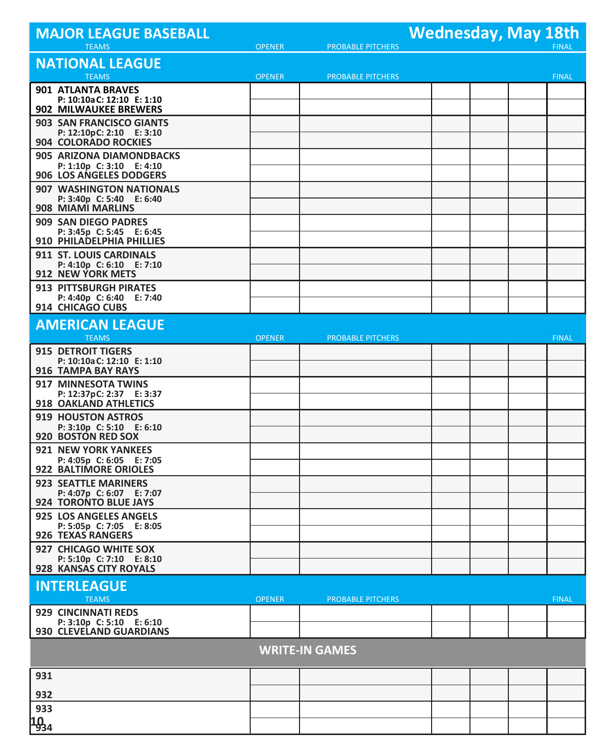| <b>MAJOR LEAGUE BASEBALL</b>                               |               |                          | <b>Wednesday, May 18th</b> |              |
|------------------------------------------------------------|---------------|--------------------------|----------------------------|--------------|
| <b>TEAMS</b>                                               | <b>OPENER</b> | <b>PROBABLE PITCHERS</b> |                            | <b>FINAL</b> |
| <b>NATIONAL LEAGUE</b>                                     |               |                          |                            |              |
| <b>TEAMS</b>                                               | <b>OPENER</b> | <b>PROBABLE PITCHERS</b> |                            | <b>FINAL</b> |
| <b>901 ATLANTA BRAVES</b>                                  |               |                          |                            |              |
| P: 10:10a C: 12:10 E: 1:10<br>902 MILWAUKEE BREWERS        |               |                          |                            |              |
| 903 SAN FRANCISCO GIANTS                                   |               |                          |                            |              |
| P: 12:10pC: 2:10 E: 3:10<br><b>904 COLORADO ROCKIES</b>    |               |                          |                            |              |
| 905 ARIZONA DIAMONDBACKS                                   |               |                          |                            |              |
| P: 1:10p C: 3:10 E: 4:10                                   |               |                          |                            |              |
| 906 LOS ANGELES DODGERS<br><b>907 WASHINGTON NATIONALS</b> |               |                          |                            |              |
| P: 3:40p C: 5:40 E: 6:40                                   |               |                          |                            |              |
| 908 MIAMI MARLINS                                          |               |                          |                            |              |
| 909 SAN DIEGO PADRES<br>P: 3:45p C: 5:45 E: 6:45           |               |                          |                            |              |
| 910 PHILADELPHIA PHILLIES                                  |               |                          |                            |              |
| 911 ST. LOUIS CARDINALS<br>P: 4:10p C: 6:10 E: 7:10        |               |                          |                            |              |
| 912 NEW YORK METS                                          |               |                          |                            |              |
| <b>913 PITTSBURGH PIRATES</b>                              |               |                          |                            |              |
| P: 4:40p C: 6:40 E: 7:40<br>914 CHICAGO CUBS               |               |                          |                            |              |
| <b>AMERICAN LEAGUE</b>                                     |               |                          |                            |              |
| <b>TEAMS</b>                                               | <b>OPENER</b> | <b>PROBABLE PITCHERS</b> |                            | <b>FINAL</b> |
| <b>915 DETROIT TIGERS</b>                                  |               |                          |                            |              |
| P: 10:10a C: 12:10 E: 1:10<br>916 TAMPA BAY RAYS           |               |                          |                            |              |
| 917 MINNESOTA TWINS                                        |               |                          |                            |              |
| P: 12:37pC: 2:37 E: 3:37<br>918 OAKLAND ATHLETICS          |               |                          |                            |              |
| 919 HOUSTON ASTROS                                         |               |                          |                            |              |
| P: 3:10p C: 5:10 E: 6:10<br>920 BOSTON RED SOX             |               |                          |                            |              |
| 921 NEW YORK YANKEES                                       |               |                          |                            |              |
| P: 4:05p C: 6:05 E: 7:05<br>922 BALTIMORE ORIOLES          |               |                          |                            |              |
| <b>923 SEATTLE MARINERS</b>                                |               |                          |                            |              |
| P: 4:07p C: 6:07 E: 7:07                                   |               |                          |                            |              |
| 924 TORONTO BLUE JAYS<br>925 LOS ANGELES ANGELS            |               |                          |                            |              |
| P: 5:05p C: 7:05 E: 8:05                                   |               |                          |                            |              |
| 926 TEXAS RANGERS                                          |               |                          |                            |              |
| 927 CHICAGO WHITE SOX<br>P: 5:10p C: 7:10 E: 8:10          |               |                          |                            |              |
| 928 KANSAS CITY ROYALS                                     |               |                          |                            |              |
| <b>INTERLEAGUE</b>                                         |               |                          |                            |              |
| <b>TEAMS</b>                                               | <b>OPENER</b> | <b>PROBABLE PITCHERS</b> |                            | <b>FINAL</b> |
| <b>929 CINCINNATI REDS</b><br>P: 3:10p C: 5:10 E: 6:10     |               |                          |                            |              |
| 930 CLEVELAND GUARDIANS                                    |               |                          |                            |              |
|                                                            |               | <b>WRITE-IN GAMES</b>    |                            |              |
| 931                                                        |               |                          |                            |              |
| 932                                                        |               |                          |                            |              |
| 933                                                        |               |                          |                            |              |
| 1034                                                       |               |                          |                            |              |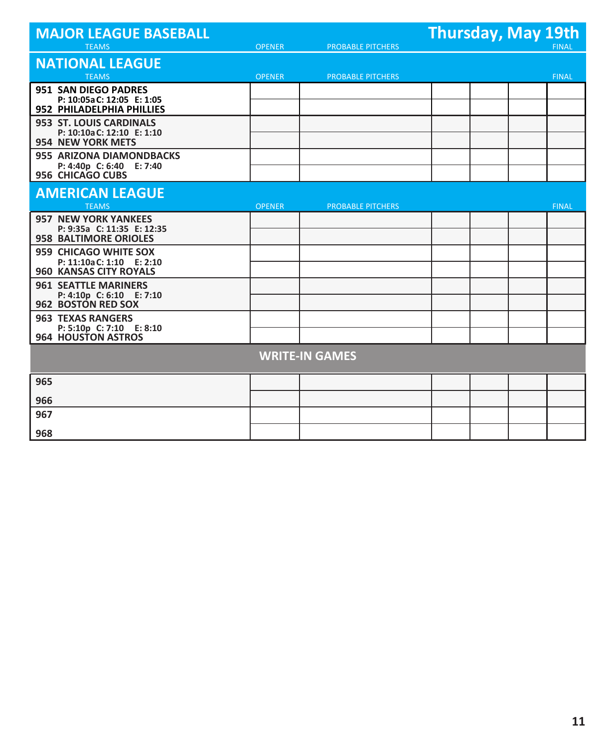| <b>MAJOR LEAGUE BASEBALL</b><br><b>TEAMS</b>               | <b>OPENER</b> | <b>PROBABLE PITCHERS</b> | <b>Thursday, May 19th</b> | <b>FINAL</b> |
|------------------------------------------------------------|---------------|--------------------------|---------------------------|--------------|
|                                                            |               |                          |                           |              |
| <b>NATIONAL LEAGUE</b><br><b>TEAMS</b>                     | <b>OPENER</b> | <b>PROBABLE PITCHERS</b> |                           | <b>FINAL</b> |
| <b>951 SAN DIEGO PADRES</b>                                |               |                          |                           |              |
| P: 10:05a C: 12:05 E: 1:05<br>952 PHILADELPHIA PHILLIES    |               |                          |                           |              |
| 953 ST. LOUIS CARDINALS                                    |               |                          |                           |              |
| P: 10:10a C: 12:10 E: 1:10<br>954 NEW YORK METS            |               |                          |                           |              |
| 955 ARIZONA DIAMONDBACKS                                   |               |                          |                           |              |
| P: 4:40p C: 6:40 E: 7:40<br>956 CHICAGO CUBS               |               |                          |                           |              |
| <b>AMERICAN LEAGUE</b>                                     |               |                          |                           |              |
| <b>TEAMS</b>                                               | <b>OPENER</b> | <b>PROBABLE PITCHERS</b> |                           | <b>FINAL</b> |
| <b>957 NEW YORK YANKEES</b>                                |               |                          |                           |              |
| P: 9:35a C: 11:35 E: 12:35<br><b>958 BALTIMORE ORIOLES</b> |               |                          |                           |              |
| 959 CHICAGO WHITE SOX                                      |               |                          |                           |              |
| P: 11:10a C: 1:10 E: 2:10<br><b>960 KANSAS CITY ROYALS</b> |               |                          |                           |              |
| <b>961 SEATTLE MARINERS</b>                                |               |                          |                           |              |
| P: 4:10p C: 6:10 E: 7:10<br>962 BOSTON RED SOX             |               |                          |                           |              |
| <b>963 TEXAS RANGERS</b>                                   |               |                          |                           |              |
| P: 5:10p C: 7:10 E: 8:10<br>964 HOUSTON ASTROS             |               |                          |                           |              |
|                                                            |               | <b>WRITE-IN GAMES</b>    |                           |              |
|                                                            |               |                          |                           |              |
| 965                                                        |               |                          |                           |              |
| 966                                                        |               |                          |                           |              |
| 967                                                        |               |                          |                           |              |
| 968                                                        |               |                          |                           |              |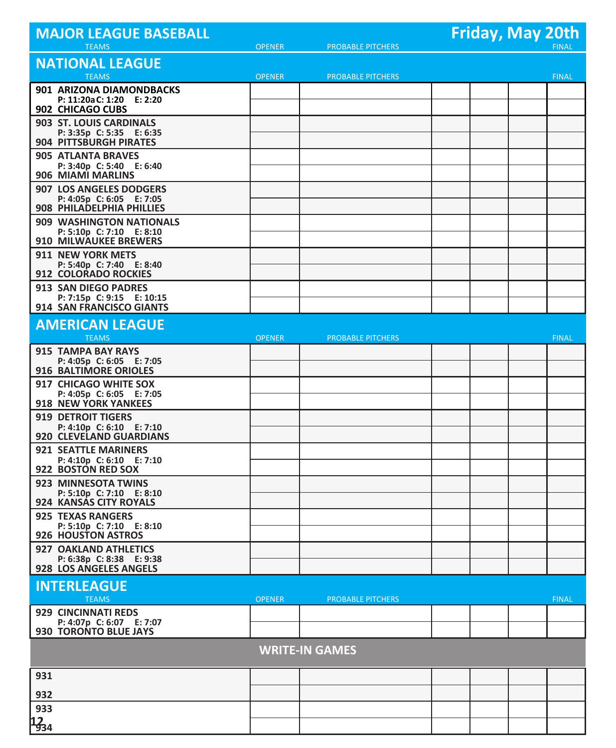| <b>MAJOR LEAGUE BASEBALL</b>                                              |               |                          | <b>Friday, May 20th</b> |
|---------------------------------------------------------------------------|---------------|--------------------------|-------------------------|
| <b>TEAMS</b>                                                              | <b>OPENER</b> | <b>PROBABLE PITCHERS</b> | <b>FINAL</b>            |
| <b>NATIONAL LEAGUE</b>                                                    |               |                          |                         |
| <b>TEAMS</b>                                                              | <b>OPENER</b> | <b>PROBABLE PITCHERS</b> | <b>FINAL</b>            |
| 901 ARIZONA DIAMONDBACKS<br>P: 11:20a C: 1:20 E: 2:20<br>902 CHICAGO CUBS |               |                          |                         |
| 903 ST. LOUIS CARDINALS                                                   |               |                          |                         |
| P: 3:35p C: 5:35 E: 6:35<br>904 PITTSBURGH PIRATES                        |               |                          |                         |
| <b>905 ATLANTA BRAVES</b>                                                 |               |                          |                         |
| P: 3:40p C: 5:40 E: 6:40<br>906 MIAMI MARLINS                             |               |                          |                         |
| 907 LOS ANGELES DODGERS                                                   |               |                          |                         |
| P: 4:05p C: 6:05 E: 7:05<br>908 PHILADELPHIA PHILLIES                     |               |                          |                         |
| 909 WASHINGTON NATIONALS                                                  |               |                          |                         |
| P: 5:10p C: 7:10 E: 8:10<br><b>910 MILWAUKEE BREWERS</b>                  |               |                          |                         |
| 911 NEW YORK METS                                                         |               |                          |                         |
| P: 5:40p C: 7:40 E: 8:40<br>912 COLORADO ROCKIES                          |               |                          |                         |
| <b>913 SAN DIEGO PADRES</b>                                               |               |                          |                         |
| P: 7:15p C: 9:15 E: 10:15<br>914 SAN FRANCISCO GIANTS                     |               |                          |                         |
| <b>AMERICAN LEAGUE</b>                                                    |               |                          |                         |
| <b>TEAMS</b>                                                              | <b>OPENER</b> | <b>PROBABLE PITCHERS</b> | <b>FINAL</b>            |
| 915 TAMPA BAY RAYS                                                        |               |                          |                         |
| P: 4:05p C: 6:05 E: 7:05<br>916 BALTIMORE ORIOLES                         |               |                          |                         |
| 917 CHICAGO WHITE SOX                                                     |               |                          |                         |
| P: 4:05p C: 6:05 E: 7:05<br>918 NEW YORK YANKEES                          |               |                          |                         |
| <b>919 DETROIT TIGERS</b>                                                 |               |                          |                         |
| P: 4:10p C: 6:10 E: 7:10<br>920 CLEVELAND GUARDIANS                       |               |                          |                         |
| <b>921 SEATTLE MARINERS</b><br>P: 4:10p C: 6:10 E: 7:10                   |               |                          |                         |
| 922 BOSTON RED SOX                                                        |               |                          |                         |
| 923 MINNESOTA TWINS                                                       |               |                          |                         |
| P: 5:10p C: 7:10 E: 8:10<br>924 KANSAS CITY ROYALS                        |               |                          |                         |
| 925 TEXAS RANGERS                                                         |               |                          |                         |
| P: 5:10p C: 7:10 E: 8:10<br>926 HOUSTON ASTROS                            |               |                          |                         |
| 927 OAKLAND ATHLETICS                                                     |               |                          |                         |
| P: 6:38p C: 8:38 E: 9:38<br>928 LOS ANGELES ANGELS                        |               |                          |                         |
| <b>INTERLEAGUE</b><br><b>TEAMS</b>                                        | <b>OPENER</b> | <b>PROBABLE PITCHERS</b> | <b>FINAL</b>            |
| <b>929 CINCINNATI REDS</b>                                                |               |                          |                         |
| P: 4:07p C: 6:07 E: 7:07<br>930 TORONTO BLUE JAYS                         |               |                          |                         |
|                                                                           |               | <b>WRITE-IN GAMES</b>    |                         |
| 931                                                                       |               |                          |                         |
| 932                                                                       |               |                          |                         |
| 933                                                                       |               |                          |                         |
| $12_{34}$                                                                 |               |                          |                         |
|                                                                           |               |                          |                         |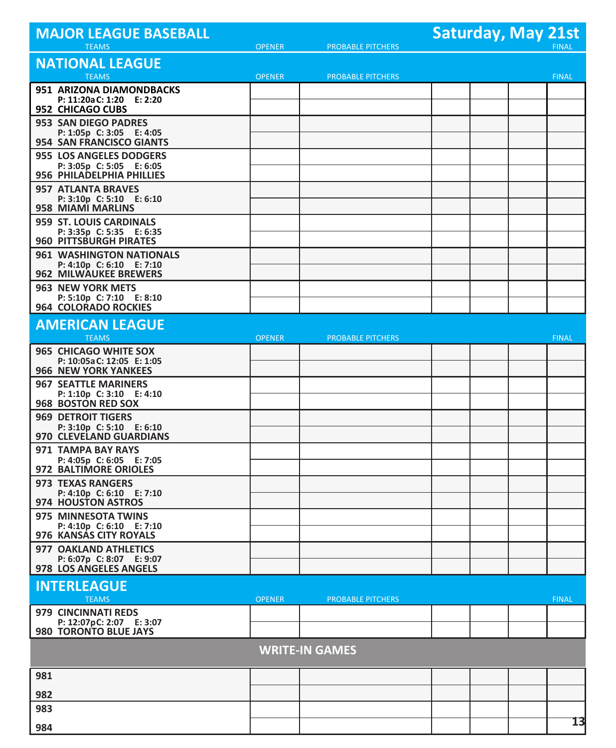| <b>MAJOR LEAGUE BASEBALL</b>                                                        |               |                          | <b>Saturday, May 21st</b> |              |
|-------------------------------------------------------------------------------------|---------------|--------------------------|---------------------------|--------------|
| <b>TEAMS</b>                                                                        | <b>OPENER</b> | <b>PROBABLE PITCHERS</b> |                           | <b>FINAL</b> |
| <b>NATIONAL LEAGUE</b>                                                              |               |                          |                           |              |
| <b>TEAMS</b>                                                                        | <b>OPENER</b> | <b>PROBABLE PITCHERS</b> |                           | <b>FINAL</b> |
| 951 ARIZONA DIAMONDBACKS<br>P: 11:20a C: 1:20 E: 2:20<br>952 CHICAGO CUBS           |               |                          |                           |              |
| <b>953 SAN DIEGO PADRES</b><br>P: 1:05p C: 3:05 E: 4:05<br>954 SAN FRANCISCO GIANTS |               |                          |                           |              |
| 955 LOS ANGELES DODGERS<br>P: 3:05p C: 5:05 E: 6:05<br>956 PHILADELPHIA PHILLIES    |               |                          |                           |              |
| 957 ATLANTA BRAVES<br>P: 3:10p C: 5:10 E: 6:10                                      |               |                          |                           |              |
| 958 MIAMI MARLINS<br>959 ST. LOUIS CARDINALS                                        |               |                          |                           |              |
| P: 3:35p C: 5:35 E: 6:35<br>960 PITTSBURGH PIRATES                                  |               |                          |                           |              |
| 961 WASHINGTON NATIONALS<br>P: 4:10p C: 6:10 E: 7:10                                |               |                          |                           |              |
| <b>962 MILWAUKEE BREWERS</b><br><b>963 NEW YORK METS</b>                            |               |                          |                           |              |
| P: 5:10p C: 7:10 E: 8:10<br>964 COLORADO ROCKIES                                    |               |                          |                           |              |
| <b>AMERICAN LEAGUE</b><br><b>TEAMS</b>                                              | <b>OPENER</b> | <b>PROBABLE PITCHERS</b> |                           | <b>FINAL</b> |
| <b>965 CHICAGO WHITE SOX</b>                                                        |               |                          |                           |              |
| P: 10:05a C: 12:05 E: 1:05<br><b>966 NEW YORK YANKEES</b>                           |               |                          |                           |              |
| <b>967 SEATTLE MARINERS</b><br>P: 1:10p C: 3:10 E: 4:10                             |               |                          |                           |              |
| 968 BOSTON RED SOX                                                                  |               |                          |                           |              |
| <b>969 DETROIT TIGERS</b><br>P: 3:10p C: 5:10 E: 6:10<br>970 CLEVELAND GUARDIANS    |               |                          |                           |              |
| 971 TAMPA BAY RAYS<br>P: 4:05p C: 6:05 E: 7:05                                      |               |                          |                           |              |
| 972 BALTIMORE ORIOLES<br><b>973 TEXAS RANGERS</b>                                   |               |                          |                           |              |
| P: 4:10p C: 6:10 E: 7:10<br>974 HOUSTON ASTROS                                      |               |                          |                           |              |
| 975 MINNESOTA TWINS<br>P: 4:10p C: 6:10 E: 7:10                                     |               |                          |                           |              |
| 976 KANSAS CITY ROYALS<br>977 OAKLAND ATHLETICS                                     |               |                          |                           |              |
| P: 6:07p C: 8:07 E: 9:07<br>978 LOS ANGELES ANGELS                                  |               |                          |                           |              |
| <b>INTERLEAGUE</b><br><b>TEAMS</b>                                                  | <b>OPENER</b> | <b>PROBABLE PITCHERS</b> |                           | <b>FINAL</b> |
| 979 CINCINNATI REDS                                                                 |               |                          |                           |              |
| P: 12:07pC: 2:07 E: 3:07<br><b>980 TORONTO BLUE JAYS</b>                            |               |                          |                           |              |
|                                                                                     |               | <b>WRITE-IN GAMES</b>    |                           |              |
| 981                                                                                 |               |                          |                           |              |
| 982                                                                                 |               |                          |                           |              |
| 983                                                                                 |               |                          |                           | 13           |
| 984                                                                                 |               |                          |                           |              |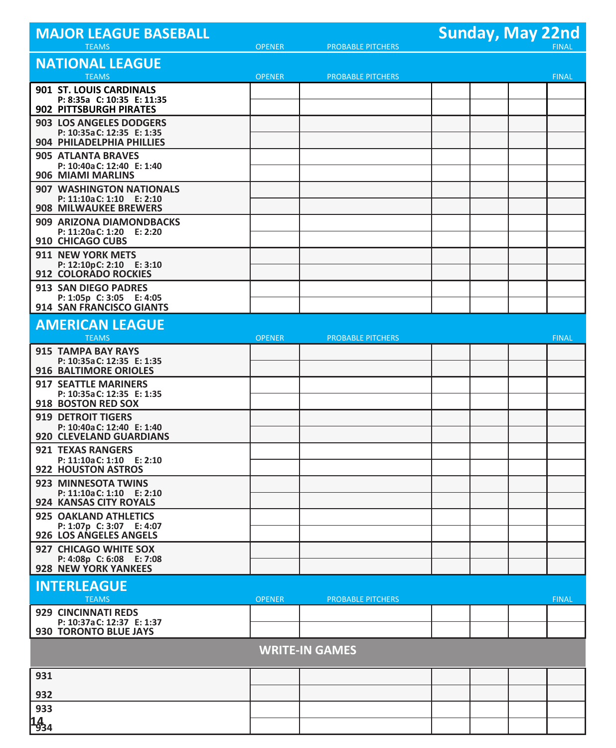| <b>MAJOR LEAGUE BASEBALL</b>                              |               |                          | <b>Sunday, May 22nd</b> |
|-----------------------------------------------------------|---------------|--------------------------|-------------------------|
| <b>TEAMS</b>                                              | <b>OPENER</b> | <b>PROBABLE PITCHERS</b> | <b>FINAL</b>            |
| <b>NATIONAL LEAGUE</b>                                    |               |                          |                         |
| <b>TEAMS</b>                                              | <b>OPENER</b> | <b>PROBABLE PITCHERS</b> | <b>FINAL</b>            |
| 901 ST. LOUIS CARDINALS<br>P: 8:35a C: 10:35 E: 11:35     |               |                          |                         |
| 902 PITTSBURGH PIRATES                                    |               |                          |                         |
| 903 LOS ANGELES DODGERS                                   |               |                          |                         |
| P: 10:35a C: 12:35 E: 1:35<br>904 PHILADELPHIA PHILLIES   |               |                          |                         |
| <b>905 ATLANTA BRAVES</b>                                 |               |                          |                         |
| P: 10:40a C: 12:40 E: 1:40                                |               |                          |                         |
| 906 MIAMI MARLINS<br>907 WASHINGTON NATIONALS             |               |                          |                         |
| P: 11:10a C: 1:10 E: 2:10                                 |               |                          |                         |
| <b>908 MILWAUKEE BREWERS</b>                              |               |                          |                         |
| 909 ARIZONA DIAMONDBACKS<br>P: 11:20a C: 1:20 E: 2:20     |               |                          |                         |
| 910 CHICAGO CUBS                                          |               |                          |                         |
| 911 NEW YORK METS                                         |               |                          |                         |
| P: 12:10pC: 2:10 E: 3:10<br>912 COLORADO ROCKIES          |               |                          |                         |
| <b>913 SAN DIEGO PADRES</b>                               |               |                          |                         |
| P: 1:05p C: 3:05 E: 4:05<br>914 SAN FRANCISCO GIANTS      |               |                          |                         |
|                                                           |               |                          |                         |
| <b>AMERICAN LEAGUE</b><br><b>TEAMS</b>                    | <b>OPENER</b> | <b>PROBABLE PITCHERS</b> | <b>FINAL</b>            |
| 915 TAMPA BAY RAYS                                        |               |                          |                         |
| P: 10:35a C: 12:35 E: 1:35                                |               |                          |                         |
| 916 BALTIMORE ORIOLES                                     |               |                          |                         |
| <b>917 SEATTLE MARINERS</b><br>P: 10:35a C: 12:35 E: 1:35 |               |                          |                         |
| 918 BOSTON RED SOX                                        |               |                          |                         |
| <b>919 DETROIT TIGERS</b><br>P: 10:40a C: 12:40 E: 1:40   |               |                          |                         |
| 920 CLEVELAND GUARDIANS                                   |               |                          |                         |
| <b>921 TEXAS RANGERS</b>                                  |               |                          |                         |
| P: 11:10a C: 1:10 E: 2:10<br>922 HOUSTON ASTROS           |               |                          |                         |
| 923 MINNESOTA TWINS                                       |               |                          |                         |
| P: 11:10a C: 1:10 E: 2:10<br>924 KANSAS CITY ROYALS       |               |                          |                         |
| 925 OAKLAND ATHLETICS                                     |               |                          |                         |
| P: 1:07p C: 3:07 E: 4:07                                  |               |                          |                         |
| 926 LOS ANGELES ANGELS<br>927 CHICAGO WHITE SOX           |               |                          |                         |
| P: 4:08p C: 6:08 E: 7:08                                  |               |                          |                         |
| 928 NEW YORK YANKEES                                      |               |                          |                         |
| <b>INTERLEAGUE</b>                                        |               |                          |                         |
| <b>TEAMS</b>                                              | <b>OPENER</b> | <b>PROBABLE PITCHERS</b> | <b>FINAL</b>            |
| <b>929 CINCINNATI REDS</b><br>P: 10:37a C: 12:37 E: 1:37  |               |                          |                         |
| <b>930 TORONTO BLUE JAYS</b>                              |               |                          |                         |
|                                                           |               | <b>WRITE-IN GAMES</b>    |                         |
|                                                           |               |                          |                         |
| 931                                                       |               |                          |                         |
| 932                                                       |               |                          |                         |
| 933                                                       |               |                          |                         |
| 1434                                                      |               |                          |                         |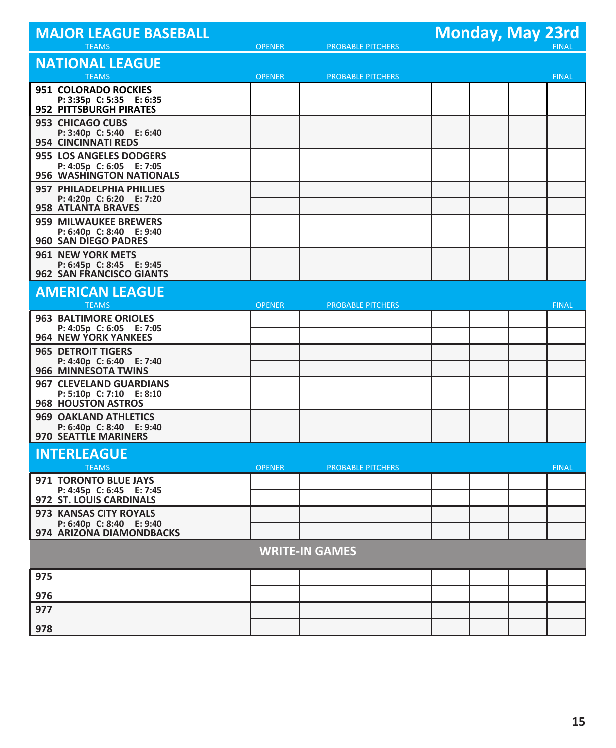| <b>MAJOR LEAGUE BASEBALL</b><br><b>TEAMS</b>                | <b>OPENER</b> | <b>PROBABLE PITCHERS</b> | <b>Monday, May 23rd</b> | <b>FINAL</b> |
|-------------------------------------------------------------|---------------|--------------------------|-------------------------|--------------|
| <b>NATIONAL LEAGUE</b>                                      |               |                          |                         |              |
| <b>TEAMS</b>                                                | <b>OPENER</b> | <b>PROBABLE PITCHERS</b> |                         | <b>FINAL</b> |
| 951 COLORADO ROCKIES                                        |               |                          |                         |              |
| P: 3:35p C: 5:35 E: 6:35<br>952 PITTSBURGH PIRATES          |               |                          |                         |              |
| <b>953 CHICAGO CUBS</b>                                     |               |                          |                         |              |
| P: 3:40p C: 5:40 E: 6:40<br>954 CINCINNATI REDS             |               |                          |                         |              |
| 955 LOS ANGELES DODGERS                                     |               |                          |                         |              |
| P: 4:05p C: 6:05 E: 7:05<br>956 WASHINGTON NATIONALS        |               |                          |                         |              |
| 957 PHILADELPHIA PHILLIES                                   |               |                          |                         |              |
| P: 4:20p C: 6:20 E: 7:20<br>958 ATLANTA BRAVES              |               |                          |                         |              |
| <b>959 MILWAUKEE BREWERS</b>                                |               |                          |                         |              |
| P: 6:40p C: 8:40 E: 9:40<br>960 SAN DIEGO PADRES            |               |                          |                         |              |
| <b>961 NEW YORK METS</b>                                    |               |                          |                         |              |
| P: 6:45p C: 8:45 E: 9:45<br><b>962 SAN FRANCISCO GIANTS</b> |               |                          |                         |              |
| <b>AMERICAN LEAGUE</b><br><b>TEAMS</b>                      | <b>OPENER</b> | <b>PROBABLE PITCHERS</b> |                         | <b>FINAL</b> |
| <b>963 BALTIMORE ORIOLES</b>                                |               |                          |                         |              |
| P: 4:05p C: 6:05 E: 7:05<br>964 NEW YORK YANKEES            |               |                          |                         |              |
| <b>965 DETROIT TIGERS</b>                                   |               |                          |                         |              |
| P: 4:40p C: 6:40 E: 7:40<br>966 MINNESOTA TWINS             |               |                          |                         |              |
| 967 CLEVELAND GUARDIANS<br>P: 5:10p C: 7:10 E: 8:10         |               |                          |                         |              |
| <b>968 HOUSTON ASTROS</b>                                   |               |                          |                         |              |
| <b>969 OAKLAND ATHLETICS</b><br>P: 6:40p C: 8:40 E: 9:40    |               |                          |                         |              |
| 970 SEATTLE MARINERS                                        |               |                          |                         |              |
| <b>INTERLEAGUE</b>                                          |               |                          |                         |              |
| <b>TEAMS</b>                                                | <b>OPENER</b> | <b>PROBABLE PITCHERS</b> |                         | <b>FINAL</b> |
| 971 TORONTO BLUE JAYS<br>P: 4:45p C: 6:45 E: 7:45           |               |                          |                         |              |
| 972 ST. LOUIS CARDINALS                                     |               |                          |                         |              |
| 973 KANSAS CITY ROYALS<br>P: 6:40p C: 8:40 E: 9:40          |               |                          |                         |              |
| 974 ARIZONA DIAMONDBACKS                                    |               |                          |                         |              |
|                                                             |               | <b>WRITE-IN GAMES</b>    |                         |              |
| 975                                                         |               |                          |                         |              |
| 976                                                         |               |                          |                         |              |
| 977                                                         |               |                          |                         |              |
| 978                                                         |               |                          |                         |              |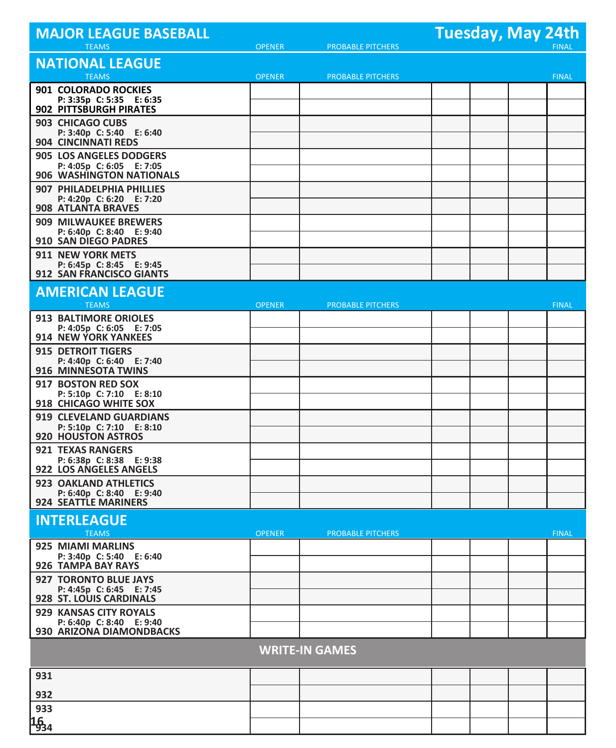|      | <b>MAJOR LEAGUE BASEBALL</b>                             |               |                          | <b>Tuesday, May 24th</b> |
|------|----------------------------------------------------------|---------------|--------------------------|--------------------------|
|      | <b>TEAMS</b>                                             | <b>OPENER</b> | <b>PROBABLE PITCHERS</b> | <b>FINAL</b>             |
|      | <b>NATIONAL LEAGUE</b>                                   |               |                          |                          |
|      | <b>TEAMS</b>                                             | <b>OPENER</b> | <b>PROBABLE PITCHERS</b> | <b>FINAL</b>             |
|      | <b>901 COLORADO ROCKIES</b><br>P: 3:35p C: 5:35 E: 6:35  |               |                          |                          |
|      | 902 PITTSBURGH PIRATES                                   |               |                          |                          |
|      | 903 CHICAGO CUBS                                         |               |                          |                          |
|      | P: 3:40p C: 5:40 E: 6:40<br>904 CINCINNATI REDS          |               |                          |                          |
|      | 905 LOS ANGELES DODGERS                                  |               |                          |                          |
|      | P: 4:05p C: 6:05 E: 7:05                                 |               |                          |                          |
|      | 906 WASHINGTON NATIONALS<br>907 PHILADELPHIA PHILLIES    |               |                          |                          |
|      | P: 4:20p C: 6:20 E: 7:20                                 |               |                          |                          |
|      | 908 ATLANTA BRAVES                                       |               |                          |                          |
|      | <b>909 MILWAUKEE BREWERS</b><br>P: 6:40p C: 8:40 E: 9:40 |               |                          |                          |
|      | <b>910 SAN DIEGO PADRES</b>                              |               |                          |                          |
|      | 911 NEW YORK METS                                        |               |                          |                          |
|      | P: 6:45p C: 8:45 E: 9:45<br>912 SAN FRANCISCO GIANTS     |               |                          |                          |
|      | <b>AMERICAN LEAGUE</b>                                   |               |                          |                          |
|      | <b>TEAMS</b>                                             | <b>OPENER</b> | <b>PROBABLE PITCHERS</b> | <b>FINAL</b>             |
|      | <b>913 BALTIMORE ORIOLES</b>                             |               |                          |                          |
|      | P: 4:05p C: 6:05 E: 7:05<br>914 NEW YORK YANKEES         |               |                          |                          |
|      | <b>915 DETROIT TIGERS</b>                                |               |                          |                          |
|      | P: 4:40p C: 6:40 E: 7:40                                 |               |                          |                          |
|      | 916 MINNESOTA TWINS<br>917 BOSTON RED SOX                |               |                          |                          |
|      | P: 5:10p C: 7:10 E: 8:10                                 |               |                          |                          |
|      | 918 CHICAGO WHITE SOX                                    |               |                          |                          |
|      | 919 CLEVELAND GUARDIANS<br>P: 5:10p C: 7:10 E: 8:10      |               |                          |                          |
|      | 920 HOUSTON ASTROS                                       |               |                          |                          |
|      | <b>921 TEXAS RANGERS</b>                                 |               |                          |                          |
|      | P: 6:38p C: 8:38 E: 9:38<br>922 LOS ANGELES ANGELS       |               |                          |                          |
|      | 923 OAKLAND ATHLETICS                                    |               |                          |                          |
|      | P: 6:40p C: 8:40 E: 9:40<br>924 SEATTLE MARINERS         |               |                          |                          |
|      |                                                          |               |                          |                          |
|      | <b>INTERLEAGUE</b><br><b>TEAMS</b>                       | <b>OPENER</b> | <b>PROBABLE PITCHERS</b> | <b>FINAL</b>             |
|      | 925 MIAMI MARLINS                                        |               |                          |                          |
|      | P: 3:40p C: 5:40 E: 6:40                                 |               |                          |                          |
|      | 926 TAMPA BAY RAYS<br><b>927 TORONTO BLUE JAYS</b>       |               |                          |                          |
|      | P: 4:45p C: 6:45 E: 7:45                                 |               |                          |                          |
|      | 928 ST. LOUIS CARDINALS                                  |               |                          |                          |
|      | 929 KANSAS CITY ROYALS<br>P: 6:40p C: 8:40 E: 9:40       |               |                          |                          |
|      | 930 ARIZONA DIAMONDBACKS                                 |               |                          |                          |
|      |                                                          |               | <b>WRITE-IN GAMES</b>    |                          |
|      |                                                          |               |                          |                          |
| 931  |                                                          |               |                          |                          |
| 932  |                                                          |               |                          |                          |
| 933  |                                                          |               |                          |                          |
| 1634 |                                                          |               |                          |                          |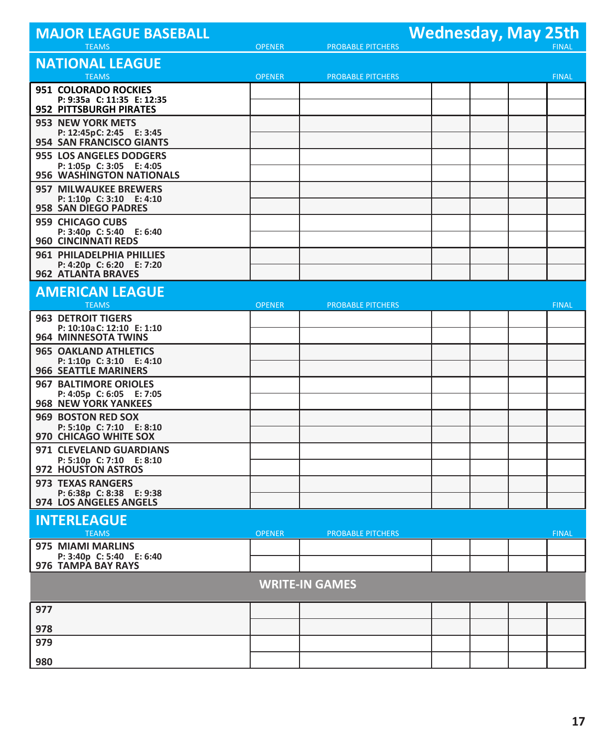| <b>MAJOR LEAGUE BASEBALL</b><br><b>TEAMS</b>                                            | <b>OPENER</b> | <b>PROBABLE PITCHERS</b> | <b>Wednesday, May 25th</b> | <b>FINAL</b> |
|-----------------------------------------------------------------------------------------|---------------|--------------------------|----------------------------|--------------|
| <b>NATIONAL LEAGUE</b>                                                                  |               |                          |                            |              |
| <b>TEAMS</b>                                                                            | <b>OPENER</b> | <b>PROBABLE PITCHERS</b> |                            | <b>FINAL</b> |
| <b>951 COLORADO ROCKIES</b><br>P: 9:35a C: 11:35 E: 12:35<br>952 PITTSBURGH PIRATES     |               |                          |                            |              |
| <b>953 NEW YORK METS</b>                                                                |               |                          |                            |              |
| P: 12:45pC: 2:45 E: 3:45<br>954 SAN FRANCISCO GIANTS                                    |               |                          |                            |              |
| 955 LOS ANGELES DODGERS<br>P: 1:05p C: 3:05 E: 4:05                                     |               |                          |                            |              |
| 956 WASHINGTON NATIONALS                                                                |               |                          |                            |              |
| <b>957 MILWAUKEE BREWERS</b><br>P: 1:10p C: 3:10 E: 4:10<br><b>958 SAN DIEGO PADRES</b> |               |                          |                            |              |
| 959 CHICAGO CUBS<br>P: 3:40p C: 5:40 E: 6:40<br><b>960 CINCINNATI REDS</b>              |               |                          |                            |              |
| 961 PHILADELPHIA PHILLIES                                                               |               |                          |                            |              |
| P: 4:20p C: 6:20 E: 7:20<br>962 ATLANTA BRAVES                                          |               |                          |                            |              |
| <b>AMERICAN LEAGUE</b><br><b>TEAMS</b>                                                  | <b>OPENER</b> | <b>PROBABLE PITCHERS</b> |                            | <b>FINAL</b> |
| <b>963 DETROIT TIGERS</b>                                                               |               |                          |                            |              |
| P: 10:10a C: 12:10 E: 1:10<br>964 MINNESOTA TWINS                                       |               |                          |                            |              |
| <b>965 OAKLAND ATHLETICS</b><br>P: 1:10p C: 3:10 E: 4:10                                |               |                          |                            |              |
| <b>966 SEATTLE MARINERS</b><br><b>967 BALTIMORE ORIOLES</b>                             |               |                          |                            |              |
| P: 4:05p C: 6:05 E: 7:05<br><b>968 NEW YORK YANKEES</b>                                 |               |                          |                            |              |
| 969 BOSTON RED SOX                                                                      |               |                          |                            |              |
| P: 5:10p C: 7:10 E: 8:10<br>970 CHICAGO WHITE SOX                                       |               |                          |                            |              |
| 971 CLEVELAND GUARDIANS<br>P: 5:10p C: 7:10 E: 8:10                                     |               |                          |                            |              |
| 972 HOUSTON ASTROS                                                                      |               |                          |                            |              |
| <b>973 TEXAS RANGERS</b><br>P: 6:38p C: 8:38 E: 9:38                                    |               |                          |                            |              |
| 974 LOS ANGELES ANGELS                                                                  |               |                          |                            |              |
| <b>INTERLEAGUE</b><br><b>TEAMS</b>                                                      | <b>OPENER</b> | <b>PROBABLE PITCHERS</b> |                            | <b>FINAL</b> |
| 975 MIAMI MARLINS                                                                       |               |                          |                            |              |
| P: 3:40p C: 5:40 E: 6:40<br>976 TAMPA BAY RAYS                                          |               |                          |                            |              |
|                                                                                         |               | <b>WRITE-IN GAMES</b>    |                            |              |
| 977                                                                                     |               |                          |                            |              |
| 978                                                                                     |               |                          |                            |              |
| 979                                                                                     |               |                          |                            |              |
| 980                                                                                     |               |                          |                            |              |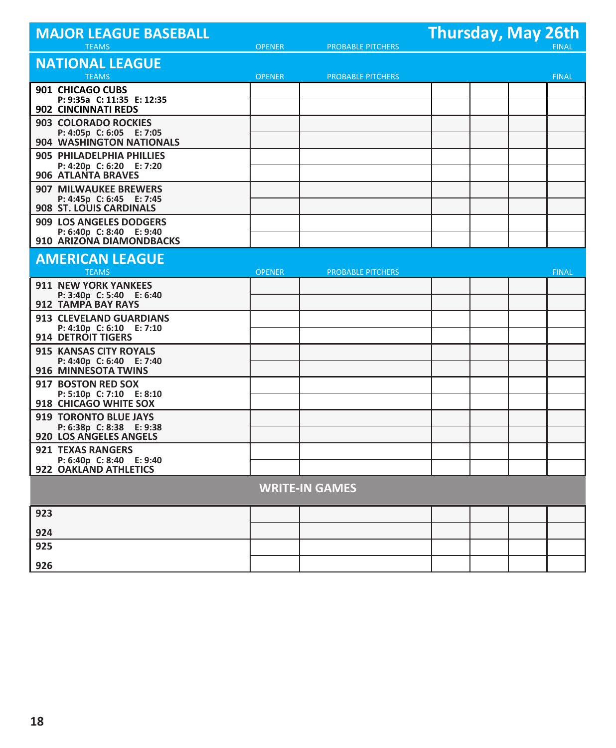| <b>MAJOR LEAGUE BASEBALL</b><br><b>TEAMS</b>                                        | <b>OPENER</b> | <b>PROBABLE PITCHERS</b> | <b>Thursday, May 26th</b> | <b>FINAL</b> |
|-------------------------------------------------------------------------------------|---------------|--------------------------|---------------------------|--------------|
| <b>NATIONAL LEAGUE</b><br><b>TEAMS</b>                                              | <b>OPENER</b> | <b>PROBABLE PITCHERS</b> |                           | FINAL        |
| <b>901 CHICAGO CUBS</b><br>P: 9:35a C: 11:35 E: 12:35<br>902 CINCINNATI REDS        |               |                          |                           |              |
| 903 COLORADO ROCKIES<br>P: 4:05p C: 6:05 E: 7:05<br>904 WASHINGTON NATIONALS        |               |                          |                           |              |
| 905 PHILADELPHIA PHILLIES<br>P: 4:20p C: 6:20 E: 7:20<br>906 ATLANTA BRAVES         |               |                          |                           |              |
| <b>907 MILWAUKEE BREWERS</b><br>P: 4:45p C: 6:45 E: 7:45<br>908 ST. LOUIS CARDINALS |               |                          |                           |              |
| 909 LOS ANGELES DODGERS<br>P: 6:40p C: 8:40 E: 9:40<br>910 ARIZONA DIAMONDBACKS     |               |                          |                           |              |
| <b>AMERICAN LEAGUE</b><br><b>TEAMS</b>                                              | <b>OPENER</b> | <b>PROBABLE PITCHERS</b> |                           | <b>FINAL</b> |
| <b>911 NEW YORK YANKEES</b><br>P: 3:40p C: 5:40 E: 6:40<br>912 TAMPA BAY RAYS       |               |                          |                           |              |
| 913 CLEVELAND GUARDIANS<br>P: 4:10p C: 6:10 E: 7:10<br>914 DETROIT TIGERS           |               |                          |                           |              |
| <b>915 KANSAS CITY ROYALS</b><br>P: 4:40p C: 6:40 E: 7:40<br>916 MINNESOTA TWINS    |               |                          |                           |              |
| 917 BOSTON RED SOX<br>P: 5:10p C: 7:10 E: 8:10<br>918 CHICAGO WHITE SOX             |               |                          |                           |              |
| <b>919 TORONTO BLUE JAYS</b><br>P: 6:38p C: 8:38 E: 9:38<br>920 LOS ANGELES ANGELS  |               |                          |                           |              |
| 921 TEXAS RANGERS<br>P: 6:40p C: 8:40 E: 9:40<br>922 OAKLAND ATHLETICS              |               |                          |                           |              |
|                                                                                     |               | <b>WRITE-IN GAMES</b>    |                           |              |
| 923                                                                                 |               |                          |                           |              |
| 924<br>925                                                                          |               |                          |                           |              |
| 926                                                                                 |               |                          |                           |              |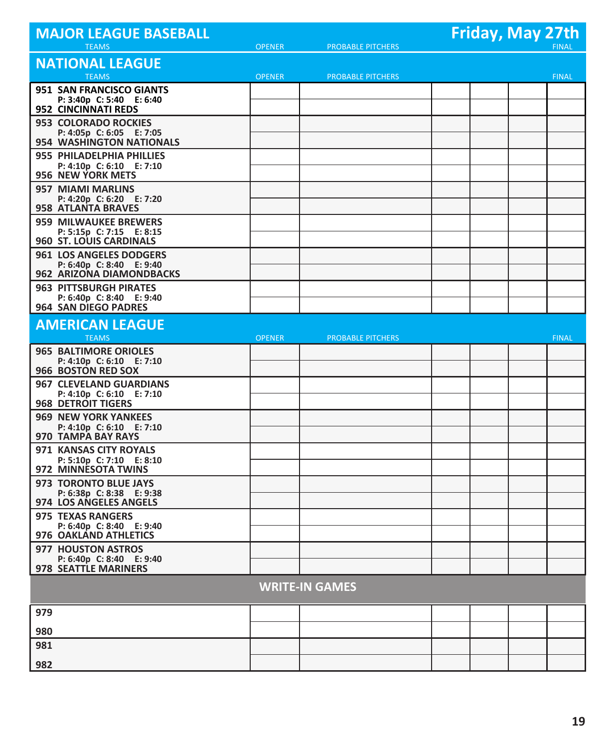| <b>MAJOR LEAGUE BASEBALL</b><br><b>TEAMS</b>                                        | <b>OPENER</b> | <b>PROBABLE PITCHERS</b> | Friday, May 27th<br><b>FINAL</b> |
|-------------------------------------------------------------------------------------|---------------|--------------------------|----------------------------------|
| <b>NATIONAL LEAGUE</b><br><b>TEAMS</b>                                              | <b>OPENER</b> | <b>PROBABLE PITCHERS</b> | <b>FINAL</b>                     |
| 951 SAN FRANCISCO GIANTS<br>P: 3:40p C: 5:40 E: 6:40<br>952 CINCINNATI REDS         |               |                          |                                  |
| <b>953 COLORADO ROCKIES</b><br>P: 4:05p C: 6:05 E: 7:05<br>954 WASHINGTON NATIONALS |               |                          |                                  |
| 955 PHILADELPHIA PHILLIES<br>P: 4:10p C: 6:10 E: 7:10<br>956 NEW YORK METS          |               |                          |                                  |
| 957 MIAMI MARLINS<br>P: 4:20p C: 6:20 E: 7:20<br>958 ATLANTA BRAVES                 |               |                          |                                  |
| <b>959 MILWAUKEE BREWERS</b><br>P: 5:15p C: 7:15 E: 8:15<br>960 ST. LOUIS CARDINALS |               |                          |                                  |
| 961 LOS ANGELES DODGERS<br>P: 6:40p C: 8:40 E: 9:40<br>962 ARIZONA DIAMONDBACKS     |               |                          |                                  |
| <b>963 PITTSBURGH PIRATES</b><br>P: 6:40p C: 8:40 E: 9:40<br>964 SAN DIEGO PADRES   |               |                          |                                  |
| <b>AMERICAN LEAGUE</b>                                                              |               |                          |                                  |
| <b>TEAMS</b>                                                                        | <b>OPENER</b> | <b>PROBABLE PITCHERS</b> | <b>FINAL</b>                     |
| <b>965 BALTIMORE ORIOLES</b><br>P: 4:10p C: 6:10 E: 7:10<br>966 BOSTON RED SOX      |               |                          |                                  |
| 967 CLEVELAND GUARDIANS<br>P: 4:10p C: 6:10 E: 7:10<br><b>968 DETROIT TIGERS</b>    |               |                          |                                  |
| <b>969 NEW YORK YANKEES</b><br>P: 4:10p C: 6:10 E: 7:10<br>970 TAMPA BAY RAYS       |               |                          |                                  |
| 971 KANSAS CITY ROYALS<br>P: 5:10p C: 7:10 E: 8:10<br>972 MINNESOTA TWINS           |               |                          |                                  |
| 973 TORONTO BLUE JAYS<br>P: 6:38p C: 8:38 E: 9:38<br>974 LOS ANGELES ANGELS         |               |                          |                                  |
| 975 TEXAS RANGERS<br>P: 6:40p C: 8:40 E: 9:40                                       |               |                          |                                  |
| 976 OAKLAND ATHLETICS<br>977 HOUSTON ASTROS                                         |               |                          |                                  |
| P: 6:40p C: 8:40 E: 9:40<br><b>978 SEATTLE MARINERS</b>                             |               |                          |                                  |
|                                                                                     |               | <b>WRITE-IN GAMES</b>    |                                  |
| 979                                                                                 |               |                          |                                  |
| 980                                                                                 |               |                          |                                  |
| 981<br>982                                                                          |               |                          |                                  |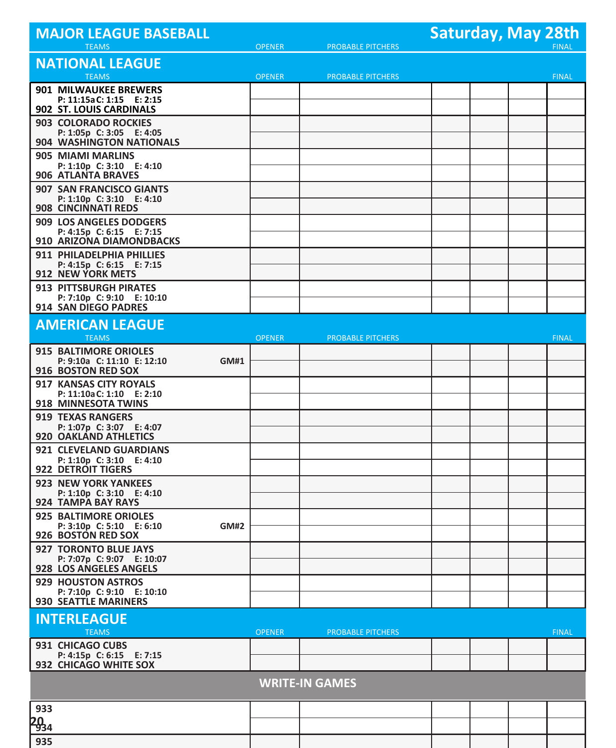| <b>MAJOR LEAGUE BASEBALL</b>                                                         |               |                          | <b>Saturday, May 28th</b> |              |
|--------------------------------------------------------------------------------------|---------------|--------------------------|---------------------------|--------------|
| <b>TEAMS</b>                                                                         | <b>OPENER</b> | <b>PROBABLE PITCHERS</b> |                           | <b>FINAL</b> |
| <b>NATIONAL LEAGUE</b>                                                               |               |                          |                           |              |
| <b>TEAMS</b>                                                                         | <b>OPENER</b> | <b>PROBABLE PITCHERS</b> |                           | <b>FINAL</b> |
| <b>901 MILWAUKEE BREWERS</b><br>P: 11:15a C: 1:15 E: 2:15<br>902 ST. LOUIS CARDINALS |               |                          |                           |              |
| <b>903 COLORADO ROCKIES</b>                                                          |               |                          |                           |              |
| P: 1:05p C: 3:05 E: 4:05<br>904 WASHINGTON NATIONALS                                 |               |                          |                           |              |
| 905 MIAMI MARLINS                                                                    |               |                          |                           |              |
| P: 1:10p C: 3:10 E: 4:10<br>906 ATLANTA BRAVES                                       |               |                          |                           |              |
| 907 SAN FRANCISCO GIANTS                                                             |               |                          |                           |              |
| P: 1:10p C: 3:10 E: 4:10<br>908 CINCINNATI REDS                                      |               |                          |                           |              |
| 909 LOS ANGELES DODGERS                                                              |               |                          |                           |              |
| P: 4:15p C: 6:15 E: 7:15<br>910 ARIZONA DIAMONDBACKS                                 |               |                          |                           |              |
| 911 PHILADELPHIA PHILLIES                                                            |               |                          |                           |              |
| P: 4:15p C: 6:15 E: 7:15<br><b>912 NEW YORK METS</b>                                 |               |                          |                           |              |
| 913 PITTSBURGH PIRATES                                                               |               |                          |                           |              |
| P: 7:10p C: 9:10 E: 10:10<br>914 SAN DIEGO PADRES                                    |               |                          |                           |              |
| <b>AMERICAN LEAGUE</b>                                                               |               |                          |                           |              |
| <b>TEAMS</b><br><b>915 BALTIMORE ORIOLES</b>                                         | <b>OPENER</b> | <b>PROBABLE PITCHERS</b> |                           | <b>FINAL</b> |
| P: 9:10a C: 11:10 E: 12:10<br><b>GM#1</b>                                            |               |                          |                           |              |
| 916 BOSTON RED SOX                                                                   |               |                          |                           |              |
| 917 KANSAS CITY ROYALS<br>P: 11:10a C: 1:10 E: 2:10                                  |               |                          |                           |              |
| 918 MINNESOTA TWINS                                                                  |               |                          |                           |              |
| <b>919 TEXAS RANGERS</b><br>P: 1:07p C: 3:07 E: 4:07                                 |               |                          |                           |              |
| 920 OAKLAND ATHLETICS                                                                |               |                          |                           |              |
| 921 CLEVELAND GUARDIANS<br>P: 1:10p C: 3:10 E: 4:10                                  |               |                          |                           |              |
| <b>922 DETROIT TIGERS</b>                                                            |               |                          |                           |              |
| <b>923 NEW YORK YANKEES</b><br>P: 1:10p C: 3:10 E: 4:10                              |               |                          |                           |              |
| 924 TAMPA BAY RAYS                                                                   |               |                          |                           |              |
| 925 BALTIMORE ORIOLES<br>P: 3:10p C: 5:10 E: 6:10<br><b>GM#2</b>                     |               |                          |                           |              |
| 926 BOSTON RED SOX                                                                   |               |                          |                           |              |
| 927 TORONTO BLUE JAYS                                                                |               |                          |                           |              |
| P: 7:07p C: 9:07 E: 10:07<br><b>928 LOS ANGELES ANGELS</b>                           |               |                          |                           |              |
| 929 HOUSTON ASTROS                                                                   |               |                          |                           |              |
| P: 7:10p C: 9:10 E: 10:10<br>930 SEATTLE MARINERS                                    |               |                          |                           |              |
| <b>INTERLEAGUE</b>                                                                   |               |                          |                           |              |
| <b>TEAMS</b>                                                                         | <b>OPENER</b> | <b>PROBABLE PITCHERS</b> |                           | <b>FINAL</b> |
| 931 CHICAGO CUBS<br>P: 4:15p C: 6:15 E: 7:15                                         |               |                          |                           |              |
| 932 CHICAGO WHITE SOX                                                                |               |                          |                           |              |
|                                                                                      |               | <b>WRITE-IN GAMES</b>    |                           |              |
| 933                                                                                  |               |                          |                           |              |
| 20 <sub>34</sub>                                                                     |               |                          |                           |              |
| 935                                                                                  |               |                          |                           |              |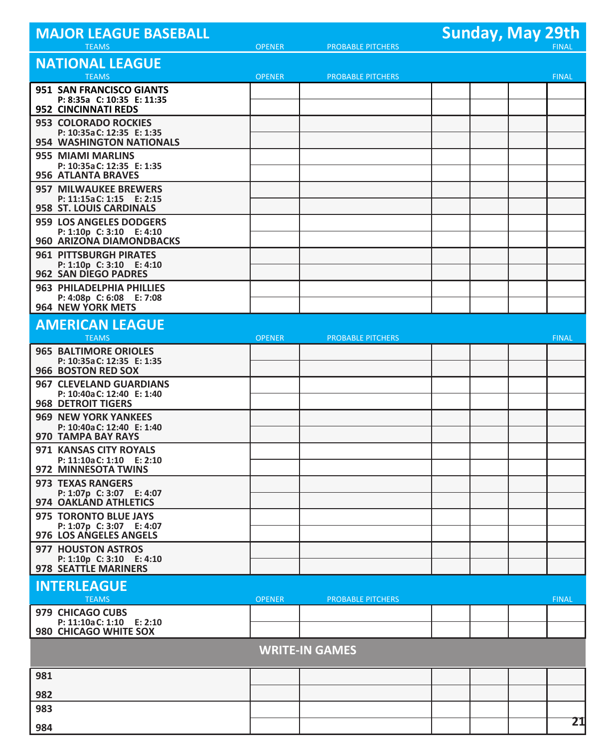| <b>MAJOR LEAGUE BASEBALL</b>                                                              |               |                          | <b>Sunday, May 29th</b> |
|-------------------------------------------------------------------------------------------|---------------|--------------------------|-------------------------|
| <b>TEAMS</b>                                                                              | <b>OPENER</b> | <b>PROBABLE PITCHERS</b> | <b>FINAL</b>            |
| <b>NATIONAL LEAGUE</b>                                                                    |               |                          |                         |
| <b>TEAMS</b>                                                                              | <b>OPENER</b> | <b>PROBABLE PITCHERS</b> | <b>FINAL</b>            |
| 951 SAN FRANCISCO GIANTS<br>P: 8:35a C: 10:35 E: 11:35<br>952 CINCINNATI REDS             |               |                          |                         |
| <b>953 COLORADO ROCKIES</b><br>P: 10:35a C: 12:35 E: 1:35<br>954 WASHINGTON NATIONALS     |               |                          |                         |
| 955 MIAMI MARLINS<br>P: 10:35a C: 12:35 E: 1:35<br>956 ATLANTA BRAVES                     |               |                          |                         |
| <b>957 MILWAUKEE BREWERS</b><br>P: 11:15a C: 1:15 E: 2:15<br>958 ST. LOUIS CARDINALS      |               |                          |                         |
| 959 LOS ANGELES DODGERS<br>P: 1:10p C: 3:10 E: 4:10<br>960 ARIZONA DIAMONDBACKS           |               |                          |                         |
| <b>961 PITTSBURGH PIRATES</b><br>P: 1:10p C: 3:10 E: 4:10<br>962 SAN DIEGO PADRES         |               |                          |                         |
| 963 PHILADELPHIA PHILLIES<br>P: 4:08p C: 6:08 E: 7:08                                     |               |                          |                         |
| 964 NEW YORK METS<br><b>AMERICAN LEAGUE</b>                                               |               |                          |                         |
| <b>TEAMS</b><br><b>965 BALTIMORE ORIOLES</b>                                              | <b>OPENER</b> | <b>PROBABLE PITCHERS</b> | <b>FINAL</b>            |
| P: 10:35a C: 12:35 E: 1:35<br>966 BOSTON RED SOX                                          |               |                          |                         |
| <b>967 CLEVELAND GUARDIANS</b><br>P: 10:40a C: 12:40 E: 1:40<br><b>968 DETROIT TIGERS</b> |               |                          |                         |
| <b>969 NEW YORK YANKEES</b><br>P: 10:40a C: 12:40 E: 1:40<br>970 TAMPA BAY RAYS           |               |                          |                         |
| 971 KANSAS CITY ROYALS<br>P: 11:10a C: 1:10 E: 2:10<br>972 MINNESOTA TWINS                |               |                          |                         |
| <b>973 TEXAS RANGERS</b><br>P: 1:07p C: 3:07 E: 4:07<br>974 OAKLAND ATHLETICS             |               |                          |                         |
| 975 TORONTO BLUE JAYS<br>P: 1:07p C: 3:07 E: 4:07<br>976 LOS ANGELES ANGELS               |               |                          |                         |
| 977 HOUSTON ASTROS<br>P: 1:10p C: 3:10 E: 4:10<br><b>978 SEATTLE MARINERS</b>             |               |                          |                         |
| <b>INTERLEAGUE</b><br><b>TEAMS</b>                                                        | <b>OPENER</b> | <b>PROBABLE PITCHERS</b> | <b>FINAL</b>            |
| 979 CHICAGO CUBS<br>P: 11:10a C: 1:10 E: 2:10<br><b>980 CHICAGO WHITE SOX</b>             |               |                          |                         |
|                                                                                           |               | <b>WRITE-IN GAMES</b>    |                         |
| 981                                                                                       |               |                          |                         |
| 982                                                                                       |               |                          |                         |
| 983                                                                                       |               |                          |                         |
| 984                                                                                       |               |                          | 21                      |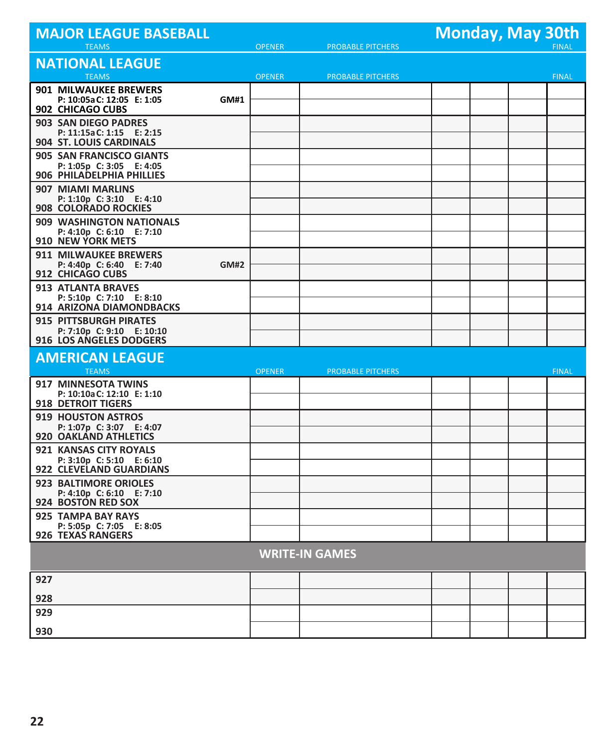| <b>MAJOR LEAGUE BASEBALL</b><br><b>TEAMS</b>                                             |             | <b>OPENER</b> | <b>PROBABLE PITCHERS</b> | <b>Monday, May 30th</b> |              |
|------------------------------------------------------------------------------------------|-------------|---------------|--------------------------|-------------------------|--------------|
| <b>NATIONAL LEAGUE</b><br><b>TEAMS</b>                                                   |             | <b>OPENER</b> | <b>PROBABLE PITCHERS</b> |                         | <b>FINAL</b> |
| 901 MILWAUKEE BREWERS<br>P: 10:05a C: 12:05 E: 1:05<br>902 CHICAGO CUBS                  | GM#1        |               |                          |                         |              |
| <b>903 SAN DIEGO PADRES</b><br>P: 11:15a C: 1:15 E: 2:15<br>904 ST. LOUIS CARDINALS      |             |               |                          |                         |              |
| <b>905 SAN FRANCISCO GIANTS</b><br>P: 1:05p C: 3:05 E: 4:05<br>906 PHILADELPHIA PHILLIES |             |               |                          |                         |              |
| 907 MIAMI MARLINS<br>P: 1:10p C: 3:10 E: 4:10<br><b>908 COLORADO ROCKIES</b>             |             |               |                          |                         |              |
| <b>909 WASHINGTON NATIONALS</b><br>P: 4:10p C: 6:10 E: 7:10<br>910 NEW YORK METS         |             |               |                          |                         |              |
| <b>911 MILWAUKEE BREWERS</b><br>P: 4:40p C: 6:40 E: 7:40<br>912 CHICAGO CUBS             | <b>GM#2</b> |               |                          |                         |              |
| <b>913 ATLANTA BRAVES</b><br>P: 5:10p C: 7:10 E: 8:10<br>914 ARIZONA DIAMONDBACKS        |             |               |                          |                         |              |
| <b>915 PITTSBURGH PIRATES</b><br>P: 7:10p C: 9:10 E: 10:10<br>916 LOS ANGELES DODGERS    |             |               |                          |                         |              |
| <b>AMERICAN LEAGUE</b><br><b>TEAMS</b>                                                   |             | <b>OPENER</b> | <b>PROBABLE PITCHERS</b> |                         | <b>FINAL</b> |
| 917 MINNESOTA TWINS<br>P: 10:10a C: 12:10 E: 1:10<br><b>918 DETROIT TIGERS</b>           |             |               |                          |                         |              |
| 919 HOUSTON ASTROS<br>P: 1:07p C: 3:07 E: 4:07<br>920 OAKLAND ATHLETICS                  |             |               |                          |                         |              |
| 921 KANSAS CITY ROYALS<br>P: 3:10p C: 5:10 E: 6:10<br>922 CLEVELAND GUARDIANS            |             |               |                          |                         |              |
| 923 BALTIMORE ORIOLES<br>P: 4:10p C: 6:10 E: 7:10<br>924 BOSTON RED SOX                  |             |               |                          |                         |              |
| 925 TAMPA BAY RAYS<br>P: 5:05p C: 7:05 E: 8:05<br>926 TEXAS RANGERS                      |             |               |                          |                         |              |
|                                                                                          |             |               | <b>WRITE-IN GAMES</b>    |                         |              |
| 927                                                                                      |             |               |                          |                         |              |
| 928                                                                                      |             |               |                          |                         |              |
| 929                                                                                      |             |               |                          |                         |              |
| 930                                                                                      |             |               |                          |                         |              |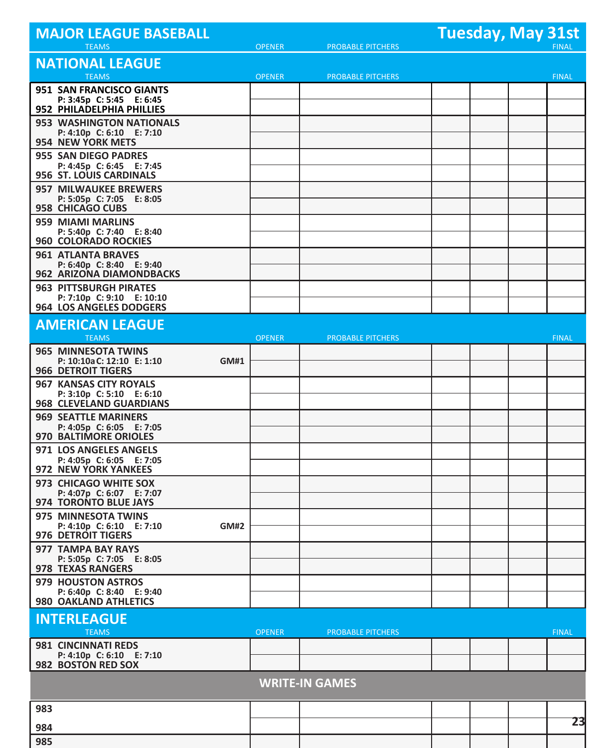| <b>MAJOR LEAGUE BASEBALL</b>                                           |               |                          |  | <b>Tuesday, May 31st</b> |              |
|------------------------------------------------------------------------|---------------|--------------------------|--|--------------------------|--------------|
| <b>TEAMS</b>                                                           | <b>OPENER</b> | <b>PROBABLE PITCHERS</b> |  |                          | <b>FINAL</b> |
| <b>NATIONAL LEAGUE</b>                                                 |               |                          |  |                          |              |
| <b>TEAMS</b>                                                           | <b>OPENER</b> | <b>PROBABLE PITCHERS</b> |  |                          | <b>FINAL</b> |
| 951 SAN FRANCISCO GIANTS<br>P: 3:45p C: 5:45 E: 6:45                   |               |                          |  |                          |              |
| 952 PHILADELPHIA PHILLIES                                              |               |                          |  |                          |              |
| <b>953 WASHINGTON NATIONALS</b><br>P: 4:10p C: 6:10 E: 7:10            |               |                          |  |                          |              |
| 954 NEW YORK METS                                                      |               |                          |  |                          |              |
| <b>955 SAN DIEGO PADRES</b><br>P: 4:45p C: 6:45 E: 7:45                |               |                          |  |                          |              |
| 956 ST. LOUIS CARDINALS                                                |               |                          |  |                          |              |
| <b>957 MILWAUKEE BREWERS</b><br>P: 5:05p C: 7:05 E: 8:05               |               |                          |  |                          |              |
| 958 CHICAGO CUBS                                                       |               |                          |  |                          |              |
| 959 MIAMI MARLINS<br>P: 5:40p C: 7:40 E: 8:40                          |               |                          |  |                          |              |
| <b>960 COLORADO ROCKIES</b>                                            |               |                          |  |                          |              |
| <b>961 ATLANTA BRAVES</b><br>P: 6:40p C: 8:40 E: 9:40                  |               |                          |  |                          |              |
| 962 ARIZONA DIAMONDBACKS                                               |               |                          |  |                          |              |
| <b>963 PITTSBURGH PIRATES</b>                                          |               |                          |  |                          |              |
| P: 7:10p C: 9:10 E: 10:10<br>964 LOS ANGELES DODGERS                   |               |                          |  |                          |              |
| <b>AMERICAN LEAGUE</b>                                                 |               |                          |  |                          |              |
| <b>TEAMS</b>                                                           | <b>OPENER</b> | <b>PROBABLE PITCHERS</b> |  |                          | <b>FINAL</b> |
| 965 MINNESOTA TWINS                                                    |               |                          |  |                          |              |
| P: 10:10a C: 12:10 E: 1:10<br><b>GM#1</b><br><b>966 DETROIT TIGERS</b> |               |                          |  |                          |              |
| 967 KANSAS CITY ROYALS                                                 |               |                          |  |                          |              |
| P: 3:10p C: 5:10 E: 6:10<br>968 CLEVELAND GUARDIANS                    |               |                          |  |                          |              |
| <b>969 SEATTLE MARINERS</b>                                            |               |                          |  |                          |              |
| P: 4:05p C: 6:05 E: 7:05<br>970 BALTIMORE ORIOLES                      |               |                          |  |                          |              |
| 971 LOS ANGELES ANGELS                                                 |               |                          |  |                          |              |
| P: 4:05p C: 6:05 E: 7:05<br>972 NEW YORK YANKEES                       |               |                          |  |                          |              |
| 973 CHICAGO WHITE SOX                                                  |               |                          |  |                          |              |
| P: 4:07p C: 6:07 E: 7:07<br>974 TORONTO BLUE JAYS                      |               |                          |  |                          |              |
| 975 MINNESOTA TWINS                                                    |               |                          |  |                          |              |
| P: 4:10p C: 6:10 E: 7:10<br><b>GM#2</b>                                |               |                          |  |                          |              |
| 976 DETROIT TIGERS<br>977 TAMPA BAY RAYS                               |               |                          |  |                          |              |
| P: 5:05p C: 7:05 E: 8:05                                               |               |                          |  |                          |              |
| 978 TEXAS RANGERS<br>979 HOUSTON ASTROS                                |               |                          |  |                          |              |
| P: 6:40p C: 8:40 E: 9:40                                               |               |                          |  |                          |              |
| 980 OAKLAND ATHLETICS                                                  |               |                          |  |                          |              |
| <b>INTERLEAGUE</b>                                                     |               |                          |  |                          |              |
| <b>TEAMS</b><br><b>981 CINCINNATI REDS</b>                             | <b>OPENER</b> | <b>PROBABLE PITCHERS</b> |  |                          | <b>FINAL</b> |
| P: 4:10p C: 6:10 E: 7:10                                               |               |                          |  |                          |              |
| 982 BOSTON RED SOX                                                     |               |                          |  |                          |              |
|                                                                        |               | <b>WRITE-IN GAMES</b>    |  |                          |              |
| 983                                                                    |               |                          |  |                          |              |
| 984                                                                    |               |                          |  |                          | 23           |
| 985                                                                    |               |                          |  |                          |              |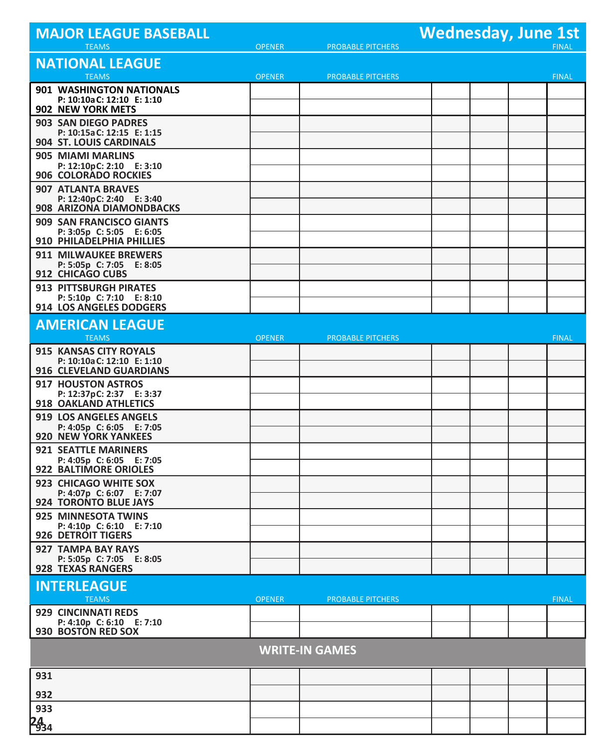| <b>MAJOR LEAGUE BASEBALL</b>                                                |               |                          | <b>Wednesday, June 1st</b> |              |
|-----------------------------------------------------------------------------|---------------|--------------------------|----------------------------|--------------|
| <b>TEAMS</b>                                                                | <b>OPENER</b> | <b>PROBABLE PITCHERS</b> |                            | <b>FINAL</b> |
| <b>NATIONAL LEAGUE</b>                                                      |               |                          |                            |              |
| <b>TEAMS</b>                                                                | <b>OPENER</b> | <b>PROBABLE PITCHERS</b> |                            | <b>FINAL</b> |
| 901 WASHINGTON NATIONALS<br>P: 10:10a C: 12:10 E: 1:10<br>902 NEW YORK METS |               |                          |                            |              |
| 903 SAN DIEGO PADRES                                                        |               |                          |                            |              |
| P: 10:15a C: 12:15 E: 1:15<br>904 ST. LOUIS CARDINALS                       |               |                          |                            |              |
| 905 MIAMI MARLINS                                                           |               |                          |                            |              |
| P: 12:10pC: 2:10 E: 3:10<br>906 COLORADO ROCKIES                            |               |                          |                            |              |
| <b>907 ATLANTA BRAVES</b>                                                   |               |                          |                            |              |
| P: 12:40pC: 2:40 E: 3:40<br>908 ARIZONA DIAMONDBACKS                        |               |                          |                            |              |
| <b>909 SAN FRANCISCO GIANTS</b>                                             |               |                          |                            |              |
| P: 3:05p C: 5:05 E: 6:05<br>910 PHILADELPHIA PHILLIES                       |               |                          |                            |              |
| 911 MILWAUKEE BREWERS                                                       |               |                          |                            |              |
| P: 5:05p C: 7:05 E: 8:05<br>912 CHICAGO CUBS                                |               |                          |                            |              |
| <b>913 PITTSBURGH PIRATES</b>                                               |               |                          |                            |              |
| P: 5:10p C: 7:10 E: 8:10<br>914 LOS ANGELES DODGERS                         |               |                          |                            |              |
| <b>AMERICAN LEAGUE</b>                                                      |               |                          |                            |              |
| <b>TEAMS</b>                                                                | <b>OPENER</b> | <b>PROBABLE PITCHERS</b> |                            | <b>FINAL</b> |
| 915 KANSAS CITY ROYALS                                                      |               |                          |                            |              |
| P: 10:10a C: 12:10 E: 1:10<br><b>916 CLEVELAND GUARDIANS</b>                |               |                          |                            |              |
| 917 HOUSTON ASTROS                                                          |               |                          |                            |              |
| P: 12:37pC: 2:37 E: 3:37                                                    |               |                          |                            |              |
| 918 OAKLAND ATHLETICS                                                       |               |                          |                            |              |
| 919 LOS ANGELES ANGELS<br>P: 4:05p C: 6:05 E: 7:05                          |               |                          |                            |              |
| <b>920 NEW YORK YANKEES</b>                                                 |               |                          |                            |              |
| <b>921 SEATTLE MARINERS</b><br>P: 4:05p C: 6:05 E: 7:05                     |               |                          |                            |              |
| 922 BALTIMORE ORIOLES                                                       |               |                          |                            |              |
| 923 CHICAGO WHITE SOX                                                       |               |                          |                            |              |
| P: 4:07p C: 6:07 E: 7:07<br>924 TORONTO BLUE JAYS                           |               |                          |                            |              |
| 925 MINNESOTA TWINS                                                         |               |                          |                            |              |
| P: 4:10p C: 6:10 E: 7:10<br>926 DETROIT TIGERS                              |               |                          |                            |              |
| 927 TAMPA BAY RAYS                                                          |               |                          |                            |              |
| P: 5:05p C: 7:05 E: 8:05<br><b>928 TEXAS RANGERS</b>                        |               |                          |                            |              |
| <b>INTERLEAGUE</b>                                                          |               |                          |                            |              |
| <b>TEAMS</b>                                                                | <b>OPENER</b> | <b>PROBABLE PITCHERS</b> |                            | <b>FINAL</b> |
| <b>929 CINCINNATI REDS</b>                                                  |               |                          |                            |              |
| P: 4:10p C: 6:10 E: 7:10<br>930 BOSTON RED SOX                              |               |                          |                            |              |
|                                                                             |               | <b>WRITE-IN GAMES</b>    |                            |              |
| 931                                                                         |               |                          |                            |              |
| 932                                                                         |               |                          |                            |              |
| 933                                                                         |               |                          |                            |              |
| 24<br><sup>2</sup> 934                                                      |               |                          |                            |              |
|                                                                             |               |                          |                            |              |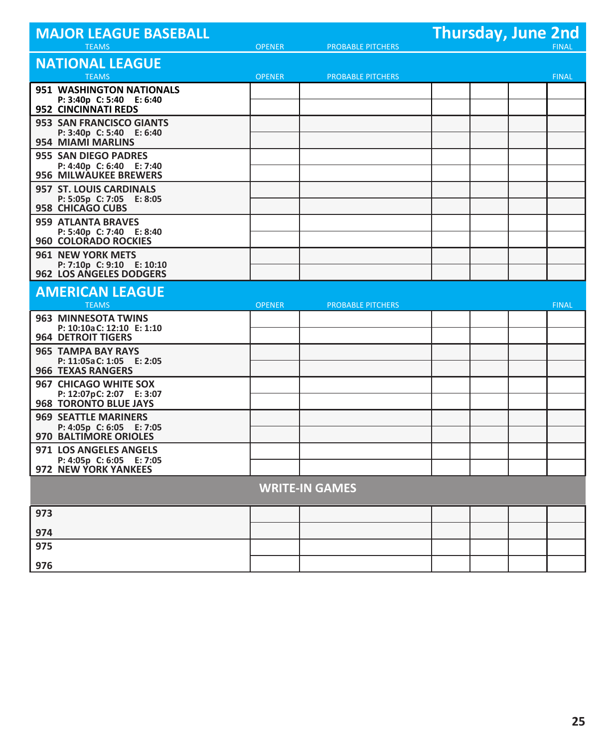| <b>MAJOR LEAGUE BASEBALL</b><br><b>TEAMS</b>                                            | <b>OPENER</b> | <b>PROBABLE PITCHERS</b> | <b>Thursday, June 2nd</b> |  | <b>FINAL</b> |
|-----------------------------------------------------------------------------------------|---------------|--------------------------|---------------------------|--|--------------|
| <b>NATIONAL LEAGUE</b><br><b>TEAMS</b>                                                  | <b>OPENER</b> | <b>PROBABLE PITCHERS</b> |                           |  | <b>FINAL</b> |
| 951 WASHINGTON NATIONALS<br>P: 3:40p C: 5:40 E: 6:40                                    |               |                          |                           |  |              |
| 952 CINCINNATI REDS                                                                     |               |                          |                           |  |              |
| 953 SAN FRANCISCO GIANTS<br>P: 3:40p C: 5:40 E: 6:40<br>954 MIAMI MARLINS               |               |                          |                           |  |              |
| <b>955 SAN DIEGO PADRES</b><br>P: 4:40p C: 6:40 E: 7:40<br><b>956 MILWAUKEE BREWERS</b> |               |                          |                           |  |              |
| <b>957 ST. LOUIS CARDINALS</b><br>P: 5:05p C: 7:05 E: 8:05<br><b>958 CHICAGO CUBS</b>   |               |                          |                           |  |              |
| <b>959 ATLANTA BRAVES</b><br>P: 5:40p C: 7:40 E: 8:40<br><b>960 COLORADO ROCKIES</b>    |               |                          |                           |  |              |
| <b>961 NEW YORK METS</b><br>P: 7:10p C: 9:10 E: 10:10                                   |               |                          |                           |  |              |
| 962 LOS ANGELES DODGERS                                                                 |               |                          |                           |  |              |
| <b>AMERICAN LEAGUE</b><br><b>TEAMS</b>                                                  | <b>OPENER</b> | <b>PROBABLE PITCHERS</b> |                           |  | <b>FINAL</b> |
| 963 MINNESOTA TWINS                                                                     |               |                          |                           |  |              |
| P: 10:10a C: 12:10 E: 1:10<br><b>964 DETROIT TIGERS</b>                                 |               |                          |                           |  |              |
| <b>965 TAMPA BAY RAYS</b><br>P: 11:05a C: 1:05 E: 2:05<br><b>966 TEXAS RANGERS</b>      |               |                          |                           |  |              |
| 967 CHICAGO WHITE SOX<br>P: 12:07pC: 2:07 E: 3:07                                       |               |                          |                           |  |              |
| <b>968 TORONTO BLUE JAYS</b>                                                            |               |                          |                           |  |              |
| <b>969 SEATTLE MARINERS</b><br>P: 4:05p C: 6:05 E: 7:05<br>970 BALTIMORE ORIOLES        |               |                          |                           |  |              |
| <b>971 LOS ANGELES ANGELS</b><br>P: 4:05p C: 6:05 E: 7:05                               |               |                          |                           |  |              |
| 972 NEW YORK YANKEES                                                                    |               |                          |                           |  |              |
|                                                                                         |               | <b>WRITE-IN GAMES</b>    |                           |  |              |
| 973                                                                                     |               |                          |                           |  |              |
| 974                                                                                     |               |                          |                           |  |              |
| 975                                                                                     |               |                          |                           |  |              |
| 976                                                                                     |               |                          |                           |  |              |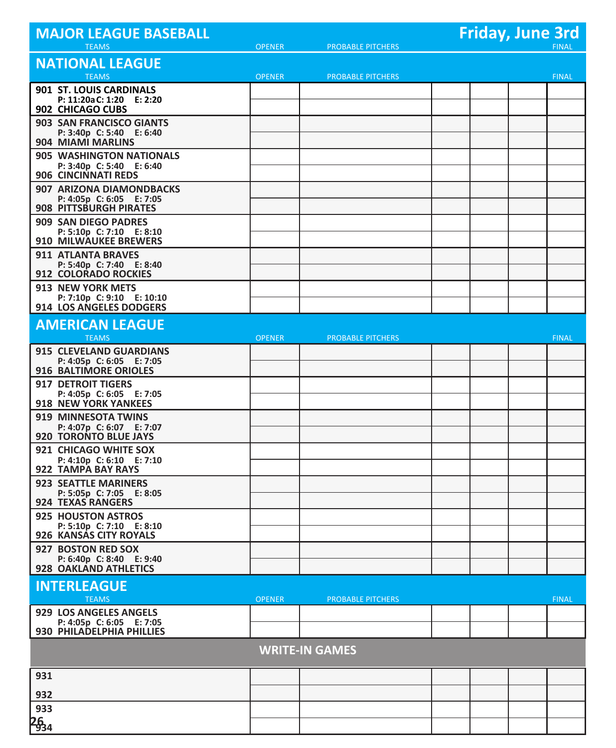| <b>MAJOR LEAGUE BASEBALL</b>                                 |               |                          | <b>Friday, June 3rd</b> |              |
|--------------------------------------------------------------|---------------|--------------------------|-------------------------|--------------|
| <b>TEAMS</b>                                                 | <b>OPENER</b> | <b>PROBABLE PITCHERS</b> |                         | <b>FINAL</b> |
| <b>NATIONAL LEAGUE</b>                                       |               |                          |                         |              |
| <b>TEAMS</b>                                                 | <b>OPENER</b> | <b>PROBABLE PITCHERS</b> |                         | <b>FINAL</b> |
| 901 ST. LOUIS CARDINALS<br>P: 11:20a C: 1:20 E: 2:20         |               |                          |                         |              |
| 902 CHICAGO CUBS                                             |               |                          |                         |              |
| 903 SAN FRANCISCO GIANTS                                     |               |                          |                         |              |
| P: 3:40p C: 5:40 E: 6:40<br>904 MIAMI MARLINS                |               |                          |                         |              |
| 905 WASHINGTON NATIONALS                                     |               |                          |                         |              |
| P: 3:40p C: 5:40 E: 6:40<br>906 CINCINNATI REDS              |               |                          |                         |              |
| 907 ARIZONA DIAMONDBACKS                                     |               |                          |                         |              |
| P: 4:05p C: 6:05 E: 7:05                                     |               |                          |                         |              |
| <b>908 PITTSBURGH PIRATES</b><br><b>909 SAN DIEGO PADRES</b> |               |                          |                         |              |
| P: 5:10p C: 7:10 E: 8:10                                     |               |                          |                         |              |
| <b>910 MILWAUKEE BREWERS</b>                                 |               |                          |                         |              |
| <b>911 ATLANTA BRAVES</b><br>P: 5:40p C: 7:40 E: 8:40        |               |                          |                         |              |
| 912 COLORADO ROCKIES                                         |               |                          |                         |              |
| 913 NEW YORK METS<br>P: 7:10p C: 9:10 E: 10:10               |               |                          |                         |              |
| 914 LOS ANGELES DODGERS                                      |               |                          |                         |              |
| <b>AMERICAN LEAGUE</b>                                       |               |                          |                         |              |
| <b>TEAMS</b>                                                 | <b>OPENER</b> | <b>PROBABLE PITCHERS</b> |                         | <b>FINAL</b> |
| 915 CLEVELAND GUARDIANS                                      |               |                          |                         |              |
| P: 4:05p C: 6:05 E: 7:05<br>916 BALTIMORE ORIOLES            |               |                          |                         |              |
| <b>917 DETROIT TIGERS</b>                                    |               |                          |                         |              |
| P: 4:05p C: 6:05 E: 7:05<br>918 NEW YORK YANKEES             |               |                          |                         |              |
| 919 MINNESOTA TWINS                                          |               |                          |                         |              |
| P: 4:07p C: 6:07 E: 7:07<br><b>920 TORONTO BLUE JAYS</b>     |               |                          |                         |              |
| <b>921 CHICAGO WHITE SOX</b>                                 |               |                          |                         |              |
| P: 4:10p C: 6:10 E: 7:10                                     |               |                          |                         |              |
| 922 TAMPA BAY RAYS                                           |               |                          |                         |              |
| <b>923 SEATTLE MARINERS</b><br>P: 5:05p C: 7:05 E: 8:05      |               |                          |                         |              |
| <b>924 TEXAS RANGERS</b>                                     |               |                          |                         |              |
| 925 HOUSTON ASTROS<br>P: 5:10p C: 7:10 E: 8:10               |               |                          |                         |              |
| 926 KANSAS CITY ROYALS                                       |               |                          |                         |              |
| 927 BOSTON RED SOX<br>P: 6:40p C: 8:40 E: 9:40               |               |                          |                         |              |
| 928 OAKLAND ATHLETICS                                        |               |                          |                         |              |
| <b>INTERLEAGUE</b>                                           |               |                          |                         |              |
| <b>TEAMS</b>                                                 | <b>OPENER</b> | <b>PROBABLE PITCHERS</b> |                         | <b>FINAL</b> |
| 929 LOS ANGELES ANGELS                                       |               |                          |                         |              |
| P: 4:05p C: 6:05 E: 7:05<br>930 PHILADELPHIA PHILLIES        |               |                          |                         |              |
|                                                              |               | <b>WRITE-IN GAMES</b>    |                         |              |
|                                                              |               |                          |                         |              |
| 931                                                          |               |                          |                         |              |
| 932                                                          |               |                          |                         |              |
| 933                                                          |               |                          |                         |              |
| 26<br>934                                                    |               |                          |                         |              |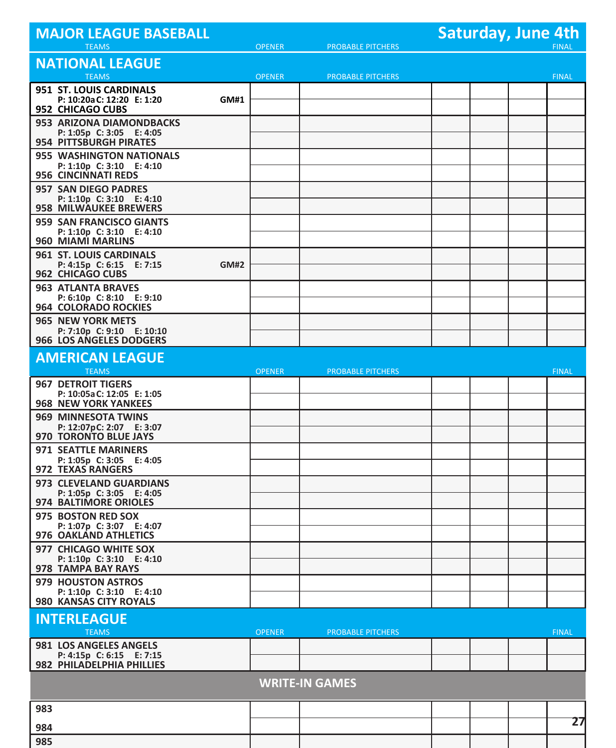| <b>MAJOR LEAGUE BASEBALL</b>                                                         |             |               |                          | <b>Saturday, June 4th</b> |
|--------------------------------------------------------------------------------------|-------------|---------------|--------------------------|---------------------------|
| <b>TEAMS</b>                                                                         |             | <b>OPENER</b> | <b>PROBABLE PITCHERS</b> | <b>FINAL</b>              |
| <b>NATIONAL LEAGUE</b><br><b>TEAMS</b>                                               |             | <b>OPENER</b> | <b>PROBABLE PITCHERS</b> | <b>FINAL</b>              |
| <b>951 ST. LOUIS CARDINALS</b><br>P: 10:20a C: 12:20 E: 1:20<br>952 CHICAGO CUBS     | <b>GM#1</b> |               |                          |                           |
| 953 ARIZONA DIAMONDBACKS<br>P: 1:05p C: 3:05 E: 4:05<br>954 PITTSBURGH PIRATES       |             |               |                          |                           |
| 955 WASHINGTON NATIONALS<br>P: 1:10p C: 3:10 E: 4:10<br>956 CINCINNATI REDS          |             |               |                          |                           |
| 957 SAN DIEGO PADRES<br>P: 1:10p C: 3:10 E: 4:10<br><b>958 MILWAUKEE BREWERS</b>     |             |               |                          |                           |
| 959 SAN FRANCISCO GIANTS<br>P: 1:10p C: 3:10 E: 4:10<br>960 MIAMI MARLINS            |             |               |                          |                           |
| 961 ST. LOUIS CARDINALS<br>P: 4:15p C: 6:15 E: 7:15                                  | <b>GM#2</b> |               |                          |                           |
| 962 CHICAGO CUBS<br><b>963 ATLANTA BRAVES</b><br>P: 6:10p C: 8:10 E: 9:10            |             |               |                          |                           |
| <b>964 COLORADO ROCKIES</b><br><b>965 NEW YORK METS</b><br>P: 7:10p C: 9:10 E: 10:10 |             |               |                          |                           |
| 966 LOS ANGELES DODGERS<br><b>AMERICAN LEAGUE</b>                                    |             |               |                          |                           |
| <b>TEAMS</b><br><b>967 DETROIT TIGERS</b>                                            |             | <b>OPENER</b> | <b>PROBABLE PITCHERS</b> | <b>FINAL</b>              |
| P: 10:05a C: 12:05 E: 1:05<br><b>968 NEW YORK YANKEES</b>                            |             |               |                          |                           |
| 969 MINNESOTA TWINS<br>P: 12:07pC: 2:07 E: 3:07                                      |             |               |                          |                           |
| 970 TORONTO BLUE JAYS                                                                |             |               |                          |                           |
| <b>971 SEATTLE MARINERS</b><br>P: 1:05p C: 3:05 E: 4:05<br>972 TEXAS RANGERS         |             |               |                          |                           |
| 973 CLEVELAND GUARDIANS<br>P: 1:05p C: 3:05 E: 4:05<br>974 BALTIMORE ORIOLES         |             |               |                          |                           |
| 975 BOSTON RED SOX<br>P: 1:07p C: 3:07 E: 4:07<br>976 OAKLAND ATHLETICS              |             |               |                          |                           |
| 977 CHICAGO WHITE SOX<br>P: 1:10p C: 3:10 E: 4:10<br><b>978 TAMPA BAY RAYS</b>       |             |               |                          |                           |
| 979 HOUSTON ASTROS<br>P: 1:10p C: 3:10 E: 4:10<br>980 KANSAS CITY ROYALS             |             |               |                          |                           |
| <b>INTERLEAGUE</b>                                                                   |             |               |                          |                           |
| <b>TEAMS</b>                                                                         |             | <b>OPENER</b> | <b>PROBABLE PITCHERS</b> | <b>FINAL</b>              |
| 981 LOS ANGELES ANGELS<br>P: 4:15p C: 6:15 E: 7:15<br>982 PHILADELPHIA PHILLIES      |             |               |                          |                           |
|                                                                                      |             |               | <b>WRITE-IN GAMES</b>    |                           |
| 983                                                                                  |             |               |                          |                           |
| 984                                                                                  |             |               |                          | 27                        |
| 985                                                                                  |             |               |                          |                           |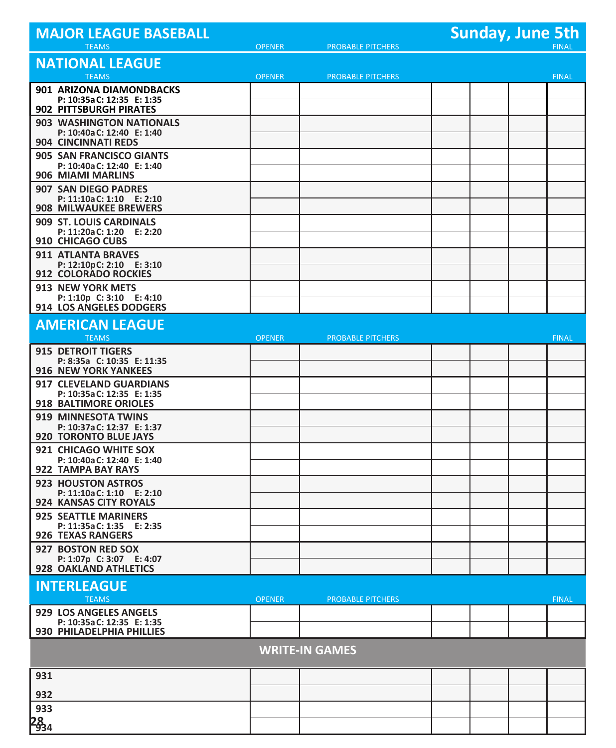| <b>MAJOR LEAGUE BASEBALL</b>                                                     |               |                          | <b>Sunday, June 5th</b> |
|----------------------------------------------------------------------------------|---------------|--------------------------|-------------------------|
| <b>TEAMS</b>                                                                     | <b>OPENER</b> | <b>PROBABLE PITCHERS</b> | <b>FINAL</b>            |
| <b>NATIONAL LEAGUE</b>                                                           |               |                          |                         |
| <b>TEAMS</b>                                                                     | <b>OPENER</b> | <b>PROBABLE PITCHERS</b> | <b>FINAL</b>            |
| 901 ARIZONA DIAMONDBACKS<br>P: 10:35a C: 12:35 E: 1:35<br>902 PITTSBURGH PIRATES |               |                          |                         |
| <b>903 WASHINGTON NATIONALS</b>                                                  |               |                          |                         |
| P: 10:40a C: 12:40 E: 1:40<br>904 CINCINNATI REDS                                |               |                          |                         |
| <b>905 SAN FRANCISCO GIANTS</b>                                                  |               |                          |                         |
| P: 10:40a C: 12:40 E: 1:40<br>906 MIAMI MARLINS                                  |               |                          |                         |
| <b>907 SAN DIEGO PADRES</b>                                                      |               |                          |                         |
| P: 11:10a C: 1:10 E: 2:10<br><b>908 MILWAUKEE BREWERS</b>                        |               |                          |                         |
| 909 ST. LOUIS CARDINALS                                                          |               |                          |                         |
| P: 11:20a C: 1:20 E: 2:20<br>910 CHICAGO CUBS                                    |               |                          |                         |
| 911 ATLANTA BRAVES                                                               |               |                          |                         |
| P: 12:10pC: 2:10 E: 3:10<br>912 COLORADO ROCKIES                                 |               |                          |                         |
| 913 NEW YORK METS                                                                |               |                          |                         |
| P: 1:10p C: 3:10 E: 4:10<br>914 LOS ANGELES DODGERS                              |               |                          |                         |
| <b>AMERICAN LEAGUE</b>                                                           |               |                          |                         |
| <b>TEAMS</b>                                                                     | <b>OPENER</b> | <b>PROBABLE PITCHERS</b> | <b>FINAL</b>            |
| <b>915 DETROIT TIGERS</b>                                                        |               |                          |                         |
| P: 8:35a C: 10:35 E: 11:35<br><b>916 NEW YORK YANKEES</b>                        |               |                          |                         |
| 917 CLEVELAND GUARDIANS                                                          |               |                          |                         |
| P: 10:35a C: 12:35 E: 1:35<br>918 BALTIMORE ORIOLES                              |               |                          |                         |
| 919 MINNESOTA TWINS                                                              |               |                          |                         |
| P: 10:37a C: 12:37 E: 1:37<br><b>920 TORONTO BLUE JAYS</b>                       |               |                          |                         |
| 921 CHICAGO WHITE SOX                                                            |               |                          |                         |
| P: 10:40a C: 12:40 E: 1:40<br>922 TAMPA BAY RAYS                                 |               |                          |                         |
| 923 HOUSTON ASTROS                                                               |               |                          |                         |
| P: 11:10a C: 1:10 E: 2:10<br>924 KANSAS CITY ROYALS                              |               |                          |                         |
| <b>925 SEATTLE MARINERS</b>                                                      |               |                          |                         |
| P: 11:35a C: 1:35 E: 2:35<br>926 TEXAS RANGERS                                   |               |                          |                         |
| 927 BOSTON RED SOX                                                               |               |                          |                         |
| P: 1:07p C: 3:07 E: 4:07<br>928 OAKLAND ATHLETICS                                |               |                          |                         |
| <b>INTERLEAGUE</b>                                                               |               |                          |                         |
| <b>TEAMS</b>                                                                     | <b>OPENER</b> | <b>PROBABLE PITCHERS</b> | <b>FINAL</b>            |
| 929 LOS ANGELES ANGELS                                                           |               |                          |                         |
| P: 10:35a C: 12:35 E: 1:35<br>930 PHILADELPHIA PHILLIES                          |               |                          |                         |
|                                                                                  |               | <b>WRITE-IN GAMES</b>    |                         |
| 931                                                                              |               |                          |                         |
| 932                                                                              |               |                          |                         |
| 933                                                                              |               |                          |                         |
| 28<br>934                                                                        |               |                          |                         |
|                                                                                  |               |                          |                         |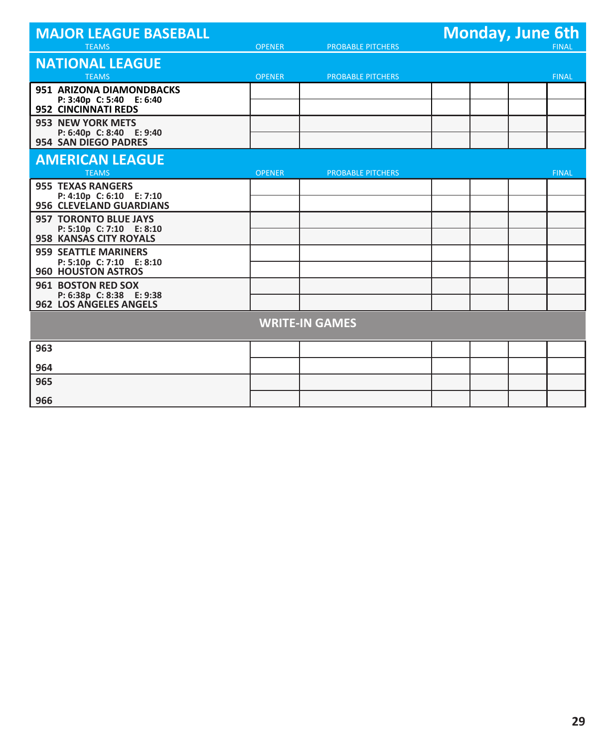| <b>MAJOR LEAGUE BASEBALL</b>                                                    |               |                          | <b>Monday, June 6th</b> |              |
|---------------------------------------------------------------------------------|---------------|--------------------------|-------------------------|--------------|
| <b>TEAMS</b>                                                                    | <b>OPENER</b> | <b>PROBABLE PITCHERS</b> |                         | <b>FINAL</b> |
| <b>NATIONAL LEAGUE</b>                                                          |               |                          |                         |              |
| <b>TEAMS</b>                                                                    | <b>OPENER</b> | <b>PROBABLE PITCHERS</b> |                         | <b>FINAL</b> |
| 951 ARIZONA DIAMONDBACKS<br>P: 3:40p C: 5:40 E: 6:40<br>952 CINCINNATI REDS     |               |                          |                         |              |
| 953 NEW YORK METS<br>P: 6:40p C: 8:40 E: 9:40<br>954 SAN DIEGO PADRES           |               |                          |                         |              |
| <b>AMERICAN LEAGUE</b>                                                          |               |                          |                         |              |
| <b>TEAMS</b>                                                                    | <b>OPENER</b> | <b>PROBABLE PITCHERS</b> |                         | <b>FINAL</b> |
| <b>955 TEXAS RANGERS</b><br>P: 4:10p C: 6:10 E: 7:10<br>956 CLEVELAND GUARDIANS |               |                          |                         |              |
| <b>957 TORONTO BLUE JAYS</b>                                                    |               |                          |                         |              |
| P: 5:10p C: 7:10 E: 8:10<br>958 KANSAS CITY ROYALS                              |               |                          |                         |              |
| <b>959 SEATTLE MARINERS</b>                                                     |               |                          |                         |              |
| P: 5:10p C: 7:10 E: 8:10<br>960 HOUSTON ASTROS                                  |               |                          |                         |              |
| 961 BOSTON RED SOX                                                              |               |                          |                         |              |
| P: 6:38p C: 8:38 E: 9:38<br>962 LOS ANGELES ANGELS                              |               |                          |                         |              |
|                                                                                 |               | <b>WRITE-IN GAMES</b>    |                         |              |
| 963                                                                             |               |                          |                         |              |
| 964                                                                             |               |                          |                         |              |
| 965                                                                             |               |                          |                         |              |
| 966                                                                             |               |                          |                         |              |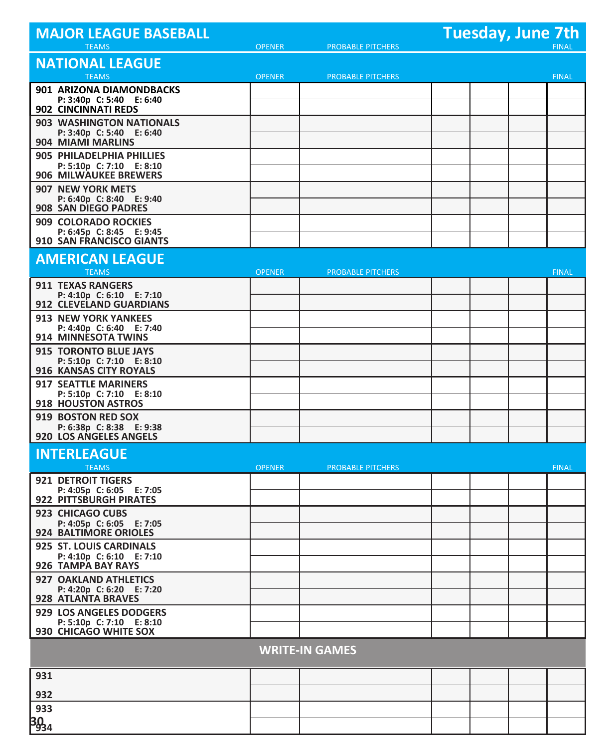| <b>MAJOR LEAGUE BASEBALL</b>                                |               |                          |  | <b>Tuesday, June 7th</b> |              |
|-------------------------------------------------------------|---------------|--------------------------|--|--------------------------|--------------|
| <b>TEAMS</b>                                                | <b>OPENER</b> | <b>PROBABLE PITCHERS</b> |  |                          | <b>FINAL</b> |
| <b>NATIONAL LEAGUE</b>                                      |               |                          |  |                          |              |
| <b>TEAMS</b>                                                | <b>OPENER</b> | <b>PROBABLE PITCHERS</b> |  |                          | <b>FINAL</b> |
| 901 ARIZONA DIAMONDBACKS<br>P: 3:40p C: 5:40 E: 6:40        |               |                          |  |                          |              |
| 902 CINCINNATI REDS                                         |               |                          |  |                          |              |
| <b>903 WASHINGTON NATIONALS</b><br>P: 3:40p C: 5:40 E: 6:40 |               |                          |  |                          |              |
| 904 MIAMI MARLINS                                           |               |                          |  |                          |              |
| 905 PHILADELPHIA PHILLIES                                   |               |                          |  |                          |              |
| P: 5:10p C: 7:10 E: 8:10<br><b>906 MILWAUKEE BREWERS</b>    |               |                          |  |                          |              |
| 907 NEW YORK METS                                           |               |                          |  |                          |              |
| P: 6:40p C: 8:40 E: 9:40<br>908 SAN DIEGO PADRES            |               |                          |  |                          |              |
| 909 COLORADO ROCKIES                                        |               |                          |  |                          |              |
| P: 6:45p C: 8:45 E: 9:45<br>910 SAN FRANCISCO GIANTS        |               |                          |  |                          |              |
|                                                             |               |                          |  |                          |              |
| <b>AMERICAN LEAGUE</b><br><b>TEAMS</b>                      | <b>OPENER</b> | <b>PROBABLE PITCHERS</b> |  |                          | <b>FINAL</b> |
| 911 TEXAS RANGERS                                           |               |                          |  |                          |              |
| P: 4:10p C: 6:10 E: 7:10                                    |               |                          |  |                          |              |
| 912 CLEVELAND GUARDIANS<br><b>913 NEW YORK YANKEES</b>      |               |                          |  |                          |              |
| P: 4:40p C: 6:40 E: 7:40                                    |               |                          |  |                          |              |
| 914 MINNESOTA TWINS                                         |               |                          |  |                          |              |
| 915 TORONTO BLUE JAYS<br>P: 5:10p C: 7:10 E: 8:10           |               |                          |  |                          |              |
| 916 KANSAS CITY ROYALS                                      |               |                          |  |                          |              |
| <b>917 SEATTLE MARINERS</b><br>P: 5:10p C: 7:10 E: 8:10     |               |                          |  |                          |              |
| 918 HOUSTON ASTROS                                          |               |                          |  |                          |              |
| 919 BOSTON RED SOX<br>P: 6:38p C: 8:38 E: 9:38              |               |                          |  |                          |              |
| 920 LOS ANGELES ANGELS                                      |               |                          |  |                          |              |
| <b>INTERLEAGUE</b>                                          |               |                          |  |                          |              |
| <b>TEAMS</b>                                                | <b>OPENER</b> | <b>PROBABLE PITCHERS</b> |  |                          | <b>FINAL</b> |
| <b>921 DETROIT TIGERS</b><br>P: 4:05p C: 6:05 E: 7:05       |               |                          |  |                          |              |
| <b>922 PITTSBURGH PIRATES</b>                               |               |                          |  |                          |              |
| 923 CHICAGO CUBS                                            |               |                          |  |                          |              |
| P: 4:05p C: 6:05 E: 7:05<br>924 BALTIMORE ORIOLES           |               |                          |  |                          |              |
| 925 ST. LOUIS CARDINALS                                     |               |                          |  |                          |              |
| P: 4:10p C: 6:10 E: 7:10<br>926 TAMPA BAY RAYS              |               |                          |  |                          |              |
| 927 OAKLAND ATHLETICS                                       |               |                          |  |                          |              |
| P: 4:20p C: 6:20 E: 7:20<br>928 ATLANTA BRAVES              |               |                          |  |                          |              |
| 929 LOS ANGELES DODGERS                                     |               |                          |  |                          |              |
| P: 5:10p C: 7:10 E: 8:10                                    |               |                          |  |                          |              |
| 930 CHICAGO WHITE SOX                                       |               |                          |  |                          |              |
|                                                             |               | <b>WRITE-IN GAMES</b>    |  |                          |              |
| 931                                                         |               |                          |  |                          |              |
|                                                             |               |                          |  |                          |              |
| 932                                                         |               |                          |  |                          |              |
| 933                                                         |               |                          |  |                          |              |
| 3034                                                        |               |                          |  |                          |              |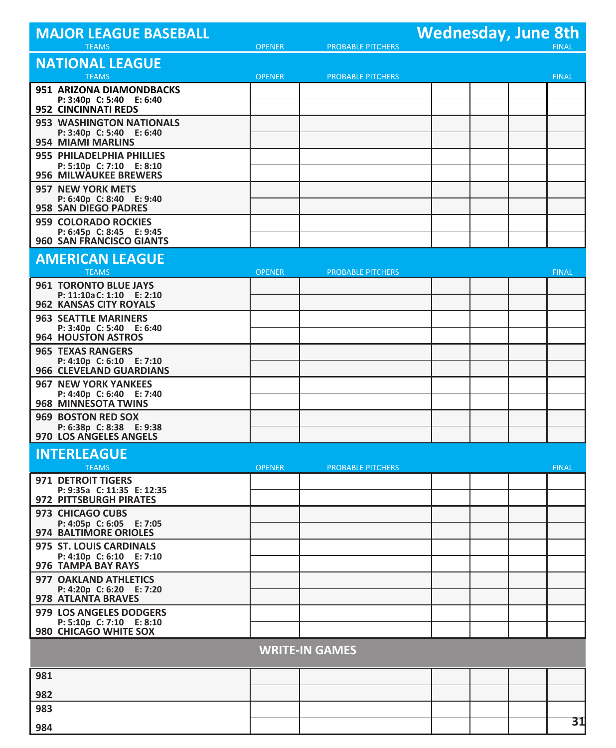| <b>MAJOR LEAGUE BASEBALL</b>                                                           |               |                          | <b>Wednesday, June 8th</b> |  |              |
|----------------------------------------------------------------------------------------|---------------|--------------------------|----------------------------|--|--------------|
| <b>TEAMS</b>                                                                           | <b>OPENER</b> | <b>PROBABLE PITCHERS</b> |                            |  | <b>FINAL</b> |
| <b>NATIONAL LEAGUE</b><br><b>TEAMS</b>                                                 | <b>OPENER</b> | <b>PROBABLE PITCHERS</b> |                            |  | FINAL        |
| 951 ARIZONA DIAMONDBACKS<br>P: 3:40p C: 5:40 E: 6:40<br>952 CINCINNATI REDS            |               |                          |                            |  |              |
| <b>953 WASHINGTON NATIONALS</b><br>P: 3:40p C: 5:40 E: 6:40<br>954 MIAMI MARLINS       |               |                          |                            |  |              |
| 955 PHILADELPHIA PHILLIES<br>P: 5:10p C: 7:10 E: 8:10                                  |               |                          |                            |  |              |
| <b>956 MILWAUKEE BREWERS</b><br><b>957 NEW YORK METS</b><br>P: 6:40p C: 8:40 E: 9:40   |               |                          |                            |  |              |
| <b>958 SAN DIEGO PADRES</b><br><b>959 COLORADO ROCKIES</b><br>P: 6:45p C: 8:45 E: 9:45 |               |                          |                            |  |              |
| 960 SAN FRANCISCO GIANTS                                                               |               |                          |                            |  |              |
| <b>AMERICAN LEAGUE</b><br><b>TEAMS</b>                                                 | <b>OPENER</b> | <b>PROBABLE PITCHERS</b> |                            |  | <b>FINAL</b> |
| <b>961 TORONTO BLUE JAYS</b><br>P: 11:10a C: 1:10 E: 2:10                              |               |                          |                            |  |              |
| 962 KANSAS CITY ROYALS<br><b>963 SEATTLE MARINERS</b><br>P: 3:40p C: 5:40 E: 6:40      |               |                          |                            |  |              |
| 964 HOUSTON ASTROS<br><b>965 TEXAS RANGERS</b><br>P: 4:10p C: 6:10 E: 7:10             |               |                          |                            |  |              |
| 966 CLEVELAND GUARDIANS<br>967 NEW YORK YANKEES                                        |               |                          |                            |  |              |
| P: 4:40p C: 6:40 E: 7:40<br>968 MINNESOTA TWINS                                        |               |                          |                            |  |              |
| 969 BOSTON RED SOX<br>P: 6:38p C: 8:38 E: 9:38<br>970 LOS ANGELES ANGELS               |               |                          |                            |  |              |
| <b>INTERLEAGUE</b><br><b>TEAMS</b>                                                     | <b>OPENER</b> | <b>PROBABLE PITCHERS</b> |                            |  | <b>FINAL</b> |
| 971 DETROIT TIGERS<br>P: 9:35a C: 11:35 E: 12:35<br>972 PITTSBURGH PIRATES             |               |                          |                            |  |              |
| 973 CHICAGO CUBS<br>P: 4:05p C: 6:05 E: 7:05<br>974 BALTIMORE ORIOLES                  |               |                          |                            |  |              |
| 975 ST. LOUIS CARDINALS<br>P: 4:10p C: 6:10 E: 7:10                                    |               |                          |                            |  |              |
| 976 TAMPA BAY RAYS<br>977 OAKLAND ATHLETICS<br>P: 4:20p C: 6:20 E: 7:20                |               |                          |                            |  |              |
| 978 ATLANTA BRAVES<br>979 LOS ANGELES DODGERS<br>P: 5:10p C: 7:10 E: 8:10              |               |                          |                            |  |              |
| <b>980 CHICAGO WHITE SOX</b>                                                           |               |                          |                            |  |              |
|                                                                                        |               | <b>WRITE-IN GAMES</b>    |                            |  |              |
| 981                                                                                    |               |                          |                            |  |              |
| 982<br>983                                                                             |               |                          |                            |  |              |
| 984                                                                                    |               |                          |                            |  | 31           |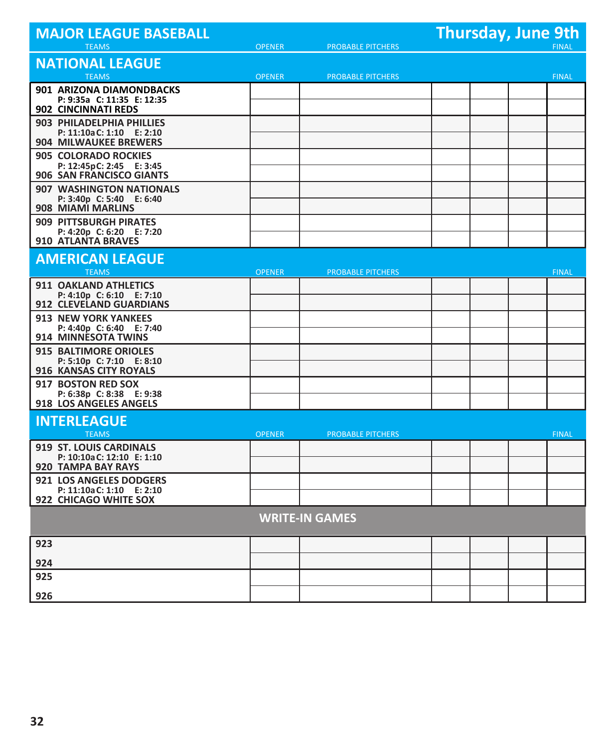| <b>MAJOR LEAGUE BASEBALL</b><br><b>TEAMS</b>                 | <b>OPENER</b> | <b>PROBABLE PITCHERS</b> | <b>Thursday, June 9th</b> | <b>FINAL</b> |
|--------------------------------------------------------------|---------------|--------------------------|---------------------------|--------------|
| <b>NATIONAL LEAGUE</b><br><b>TEAMS</b>                       | <b>OPENER</b> | <b>PROBABLE PITCHERS</b> |                           | <b>FINAL</b> |
| 901 ARIZONA DIAMONDBACKS                                     |               |                          |                           |              |
| P: 9:35a C: 11:35 E: 12:35<br>902 CINCINNATI REDS            |               |                          |                           |              |
| 903 PHILADELPHIA PHILLIES                                    |               |                          |                           |              |
| P: 11:10a C: 1:10 E: 2:10<br><b>904 MILWAUKEE BREWERS</b>    |               |                          |                           |              |
| <b>905 COLORADO ROCKIES</b>                                  |               |                          |                           |              |
| P: 12:45pC: 2:45 E: 3:45<br>906 SAN FRANCISCO GIANTS         |               |                          |                           |              |
| 907 WASHINGTON NATIONALS                                     |               |                          |                           |              |
| P: 3:40p C: 5:40 E: 6:40<br>908 MIAMI MARLINS                |               |                          |                           |              |
| <b>909 PITTSBURGH PIRATES</b>                                |               |                          |                           |              |
| P: 4:20p C: 6:20 E: 7:20<br>910 ATLANTA BRAVES               |               |                          |                           |              |
| <b>AMERICAN LEAGUE</b>                                       |               |                          |                           |              |
| <b>TEAMS</b>                                                 | <b>OPENER</b> | <b>PROBABLE PITCHERS</b> |                           | <b>FINAL</b> |
| <b>911 OAKLAND ATHLETICS</b><br>P: 4:10p C: 6:10 E: 7:10     |               |                          |                           |              |
| 912 CLEVELAND GUARDIANS                                      |               |                          |                           |              |
| <b>913 NEW YORK YANKEES</b><br>P: 4:40p C: 6:40 E: 7:40      |               |                          |                           |              |
| 914 MINNESOTA TWINS                                          |               |                          |                           |              |
| <b>915 BALTIMORE ORIOLES</b><br>P: 5:10p C: 7:10 E: 8:10     |               |                          |                           |              |
| 916 KANSAS CITY ROYALS                                       |               |                          |                           |              |
| 917 BOSTON RED SOX<br>P: 6:38p C: 8:38 E: 9:38               |               |                          |                           |              |
| 918 LOS ANGELES ANGELS                                       |               |                          |                           |              |
| <b>INTERLEAGUE</b>                                           |               |                          |                           |              |
| <b>TEAMS</b>                                                 | <b>OPENER</b> | <b>PROBABLE PITCHERS</b> |                           | <b>FINAL</b> |
| <b>919 ST. LOUIS CARDINALS</b><br>P: 10:10a C: 12:10 E: 1:10 |               |                          |                           |              |
| 920 TAMPA BAY RAYS                                           |               |                          |                           |              |
| <b>921 LOS ANGELES DODGERS</b><br>P: 11:10a C: 1:10 E: 2:10  |               |                          |                           |              |
| 922 CHICAGO WHITE SOX                                        |               |                          |                           |              |
|                                                              |               | <b>WRITE-IN GAMES</b>    |                           |              |
| 923                                                          |               |                          |                           |              |
| 924                                                          |               |                          |                           |              |
| 925                                                          |               |                          |                           |              |
| 926                                                          |               |                          |                           |              |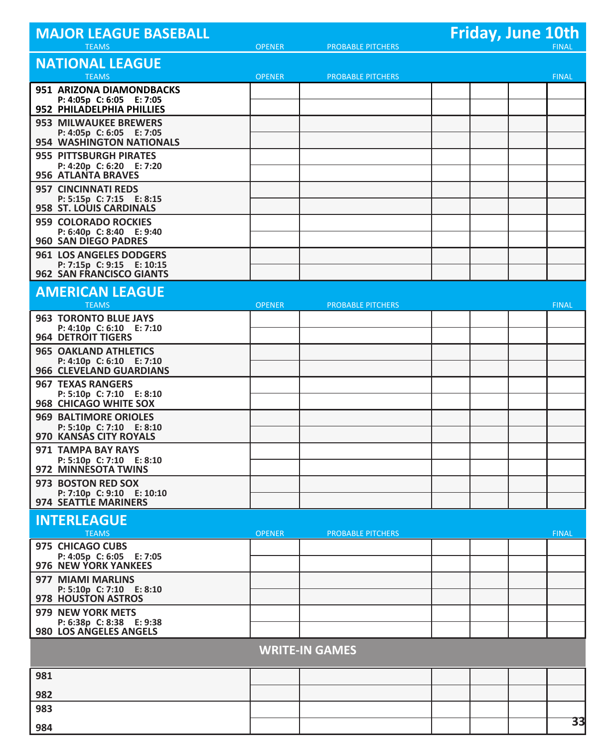| <b>FINAL</b><br><b>TEAMS</b><br><b>OPENER</b><br><b>PROBABLE PITCHERS</b><br><b>NATIONAL LEAGUE</b><br><b>TEAMS</b><br><b>OPENER</b><br><b>FINAL</b><br><b>PROBABLE PITCHERS</b><br>951 ARIZONA DIAMONDBACKS<br>P: 4:05p C: 6:05 E: 7:05<br>952 PHILADELPHIA PHILLIES<br><b>953 MILWAUKEE BREWERS</b><br>P: 4:05p C: 6:05 E: 7:05<br>954 WASHINGTON NATIONALS<br><b>955 PITTSBURGH PIRATES</b><br>P: 4:20p C: 6:20 E: 7:20<br>956 ATLANTA BRAVES<br><b>957 CINCINNATI REDS</b><br>P: 5:15p C: 7:15 E: 8:15 | <b>MAJOR LEAGUE BASEBALL</b> |  | <b>Friday, June 10th</b> |
|------------------------------------------------------------------------------------------------------------------------------------------------------------------------------------------------------------------------------------------------------------------------------------------------------------------------------------------------------------------------------------------------------------------------------------------------------------------------------------------------------------|------------------------------|--|--------------------------|
|                                                                                                                                                                                                                                                                                                                                                                                                                                                                                                            |                              |  |                          |
|                                                                                                                                                                                                                                                                                                                                                                                                                                                                                                            |                              |  |                          |
|                                                                                                                                                                                                                                                                                                                                                                                                                                                                                                            |                              |  |                          |
|                                                                                                                                                                                                                                                                                                                                                                                                                                                                                                            |                              |  |                          |
|                                                                                                                                                                                                                                                                                                                                                                                                                                                                                                            |                              |  |                          |
|                                                                                                                                                                                                                                                                                                                                                                                                                                                                                                            |                              |  |                          |
|                                                                                                                                                                                                                                                                                                                                                                                                                                                                                                            |                              |  |                          |
|                                                                                                                                                                                                                                                                                                                                                                                                                                                                                                            |                              |  |                          |
|                                                                                                                                                                                                                                                                                                                                                                                                                                                                                                            |                              |  |                          |
|                                                                                                                                                                                                                                                                                                                                                                                                                                                                                                            |                              |  |                          |
|                                                                                                                                                                                                                                                                                                                                                                                                                                                                                                            | 958 ST. LOUIS CARDINALS      |  |                          |
| <b>959 COLORADO ROCKIES</b>                                                                                                                                                                                                                                                                                                                                                                                                                                                                                |                              |  |                          |
| P: 6:40p C: 8:40 E: 9:40<br><b>960 SAN DIEGO PADRES</b>                                                                                                                                                                                                                                                                                                                                                                                                                                                    |                              |  |                          |
| 961 LOS ANGELES DODGERS                                                                                                                                                                                                                                                                                                                                                                                                                                                                                    |                              |  |                          |
| P: 7:15p C: 9:15 E: 10:15<br>962 SAN FRANCISCO GIANTS                                                                                                                                                                                                                                                                                                                                                                                                                                                      |                              |  |                          |
|                                                                                                                                                                                                                                                                                                                                                                                                                                                                                                            |                              |  |                          |
| <b>AMERICAN LEAGUE</b><br><b>TEAMS</b><br><b>OPENER</b><br><b>PROBABLE PITCHERS</b><br><b>FINAL</b>                                                                                                                                                                                                                                                                                                                                                                                                        |                              |  |                          |
| <b>963 TORONTO BLUE JAYS</b>                                                                                                                                                                                                                                                                                                                                                                                                                                                                               |                              |  |                          |
| P: 4:10p C: 6:10 E: 7:10<br><b>964 DETROIT TIGERS</b>                                                                                                                                                                                                                                                                                                                                                                                                                                                      |                              |  |                          |
| <b>965 OAKLAND ATHLETICS</b>                                                                                                                                                                                                                                                                                                                                                                                                                                                                               |                              |  |                          |
| P: 4:10p C: 6:10 E: 7:10<br>966 CLEVELAND GUARDIANS                                                                                                                                                                                                                                                                                                                                                                                                                                                        |                              |  |                          |
| <b>967 TEXAS RANGERS</b>                                                                                                                                                                                                                                                                                                                                                                                                                                                                                   |                              |  |                          |
| P: 5:10p C: 7:10 E: 8:10<br><b>968 CHICAGO WHITE SOX</b>                                                                                                                                                                                                                                                                                                                                                                                                                                                   |                              |  |                          |
| <b>969 BALTIMORE ORIOLES</b>                                                                                                                                                                                                                                                                                                                                                                                                                                                                               |                              |  |                          |
| P: 5:10p C: 7:10 E: 8:10<br>970 KANSAS CITY ROYALS                                                                                                                                                                                                                                                                                                                                                                                                                                                         |                              |  |                          |
| 971 TAMPA BAY RAYS                                                                                                                                                                                                                                                                                                                                                                                                                                                                                         |                              |  |                          |
| P: 5:10p C: 7:10 E: 8:10<br>972 MINNESOTA TWINS                                                                                                                                                                                                                                                                                                                                                                                                                                                            |                              |  |                          |
| 973 BOSTON RED SOX                                                                                                                                                                                                                                                                                                                                                                                                                                                                                         |                              |  |                          |
| P: 7:10p C: 9:10 E: 10:10<br><b>974 SEATTLE MARINERS</b>                                                                                                                                                                                                                                                                                                                                                                                                                                                   |                              |  |                          |
| <b>INTERLEAGUE</b>                                                                                                                                                                                                                                                                                                                                                                                                                                                                                         |                              |  |                          |
| <b>TEAMS</b><br><b>OPENER</b><br><b>FINAL</b><br><b>PROBABLE PITCHERS</b>                                                                                                                                                                                                                                                                                                                                                                                                                                  |                              |  |                          |
| 975 CHICAGO CUBS                                                                                                                                                                                                                                                                                                                                                                                                                                                                                           |                              |  |                          |
| P: 4:05p C: 6:05 E: 7:05<br><b>976 NEW YORK YANKEES</b>                                                                                                                                                                                                                                                                                                                                                                                                                                                    |                              |  |                          |
| 977 MIAMI MARLINS                                                                                                                                                                                                                                                                                                                                                                                                                                                                                          |                              |  |                          |
| P: 5:10p C: 7:10 E: 8:10<br>978 HOUSTON ASTROS                                                                                                                                                                                                                                                                                                                                                                                                                                                             |                              |  |                          |
| 979 NEW YORK METS                                                                                                                                                                                                                                                                                                                                                                                                                                                                                          |                              |  |                          |
| P: 6:38p C: 8:38 E: 9:38<br>980 LOS ANGELES ANGELS                                                                                                                                                                                                                                                                                                                                                                                                                                                         |                              |  |                          |
| <b>WRITE-IN GAMES</b>                                                                                                                                                                                                                                                                                                                                                                                                                                                                                      |                              |  |                          |
| 981                                                                                                                                                                                                                                                                                                                                                                                                                                                                                                        |                              |  |                          |
| 982                                                                                                                                                                                                                                                                                                                                                                                                                                                                                                        |                              |  |                          |
| 983                                                                                                                                                                                                                                                                                                                                                                                                                                                                                                        |                              |  |                          |
| 984                                                                                                                                                                                                                                                                                                                                                                                                                                                                                                        |                              |  | 33                       |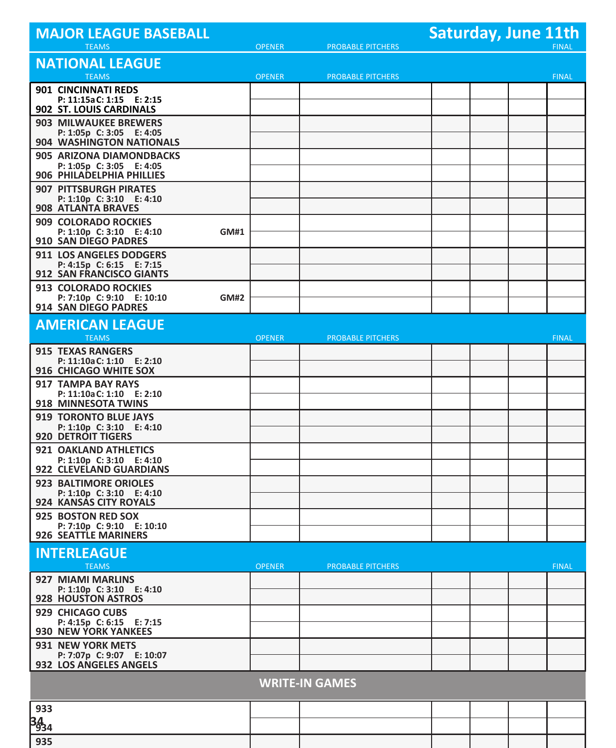| <b>MAJOR LEAGUE BASEBALL</b>                          |             |               |                          | <b>Saturday, June 11th</b> |  |              |
|-------------------------------------------------------|-------------|---------------|--------------------------|----------------------------|--|--------------|
| <b>TEAMS</b>                                          |             | <b>OPENER</b> | <b>PROBABLE PITCHERS</b> |                            |  | <b>FINAL</b> |
| <b>NATIONAL LEAGUE</b>                                |             |               |                          |                            |  |              |
| <b>TEAMS</b>                                          |             | <b>OPENER</b> | <b>PROBABLE PITCHERS</b> |                            |  | <b>FINAL</b> |
| 901 CINCINNATI REDS<br>P: 11:15a C: 1:15 E: 2:15      |             |               |                          |                            |  |              |
| 902 ST. LOUIS CARDINALS                               |             |               |                          |                            |  |              |
| <b>903 MILWAUKEE BREWERS</b>                          |             |               |                          |                            |  |              |
| P: 1:05p C: 3:05 E: 4:05<br>904 WASHINGTON NATIONALS  |             |               |                          |                            |  |              |
| 905 ARIZONA DIAMONDBACKS                              |             |               |                          |                            |  |              |
| P: 1:05p C: 3:05 E: 4:05                              |             |               |                          |                            |  |              |
| 906 PHILADELPHIA PHILLIES                             |             |               |                          |                            |  |              |
| 907 PITTSBURGH PIRATES<br>P: 1:10p C: 3:10 E: 4:10    |             |               |                          |                            |  |              |
| 908 ATLANTA BRAVES                                    |             |               |                          |                            |  |              |
| 909 COLORADO ROCKIES                                  |             |               |                          |                            |  |              |
| P: 1:10p C: 3:10 E: 4:10<br>910 SAN DIEGO PADRES      | <b>GM#1</b> |               |                          |                            |  |              |
| 911 LOS ANGELES DODGERS                               |             |               |                          |                            |  |              |
| P: 4:15p C: 6:15 E: 7:15<br>912 SAN FRANCISCO GIANTS  |             |               |                          |                            |  |              |
| 913 COLORADO ROCKIES                                  |             |               |                          |                            |  |              |
| P: 7:10p C: 9:10 E: 10:10                             | <b>GM#2</b> |               |                          |                            |  |              |
| 914 SAN DIEGO PADRES                                  |             |               |                          |                            |  |              |
| <b>AMERICAN LEAGUE</b>                                |             |               |                          |                            |  |              |
| <b>TEAMS</b>                                          |             | <b>OPENER</b> | <b>PROBABLE PITCHERS</b> |                            |  | <b>FINAL</b> |
| <b>915 TEXAS RANGERS</b><br>P: 11:10a C: 1:10 E: 2:10 |             |               |                          |                            |  |              |
| 916 CHICAGO WHITE SOX                                 |             |               |                          |                            |  |              |
| <b>917 TAMPA BAY RAYS</b>                             |             |               |                          |                            |  |              |
| P: 11:10a C: 1:10 E: 2:10<br>918 MINNESOTA TWINS      |             |               |                          |                            |  |              |
| 919 TORONTO BLUE JAYS                                 |             |               |                          |                            |  |              |
| P: 1:10p C: 3:10 E: 4:10                              |             |               |                          |                            |  |              |
| <b>920 DETROIT TIGERS</b><br>921 OAKLAND ATHLETICS    |             |               |                          |                            |  |              |
| P: 1:10p C: 3:10 E: 4:10                              |             |               |                          |                            |  |              |
| 922 CLEVELAND GUARDIANS                               |             |               |                          |                            |  |              |
| 923 BALTIMORE ORIOLES<br>P: 1:10p C: 3:10 E: 4:10     |             |               |                          |                            |  |              |
| 924 KANSAS CITY ROYALS                                |             |               |                          |                            |  |              |
| 925 BOSTON RED SOX                                    |             |               |                          |                            |  |              |
| P: 7:10p C: 9:10 E: 10:10<br>926 SEATTLE MARINERS     |             |               |                          |                            |  |              |
| <b>INTERLEAGUE</b>                                    |             |               |                          |                            |  |              |
| <b>TEAMS</b>                                          |             | <b>OPENER</b> | <b>PROBABLE PITCHERS</b> |                            |  | <b>FINAL</b> |
| 927 MIAMI MARLINS                                     |             |               |                          |                            |  |              |
| P: 1:10p C: 3:10 E: 4:10                              |             |               |                          |                            |  |              |
| 928 HOUSTON ASTROS<br>929 CHICAGO CUBS                |             |               |                          |                            |  |              |
| P: 4:15p C: 6:15 E: 7:15                              |             |               |                          |                            |  |              |
| <b>930 NEW YORK YANKEES</b>                           |             |               |                          |                            |  |              |
| 931 NEW YORK METS<br>P: 7:07p C: 9:07 E: 10:07        |             |               |                          |                            |  |              |
| 932 LOS ANGELES ANGELS                                |             |               |                          |                            |  |              |
|                                                       |             |               | <b>WRITE-IN GAMES</b>    |                            |  |              |
| 933                                                   |             |               |                          |                            |  |              |
| 3434                                                  |             |               |                          |                            |  |              |
| 935                                                   |             |               |                          |                            |  |              |
|                                                       |             |               |                          |                            |  |              |